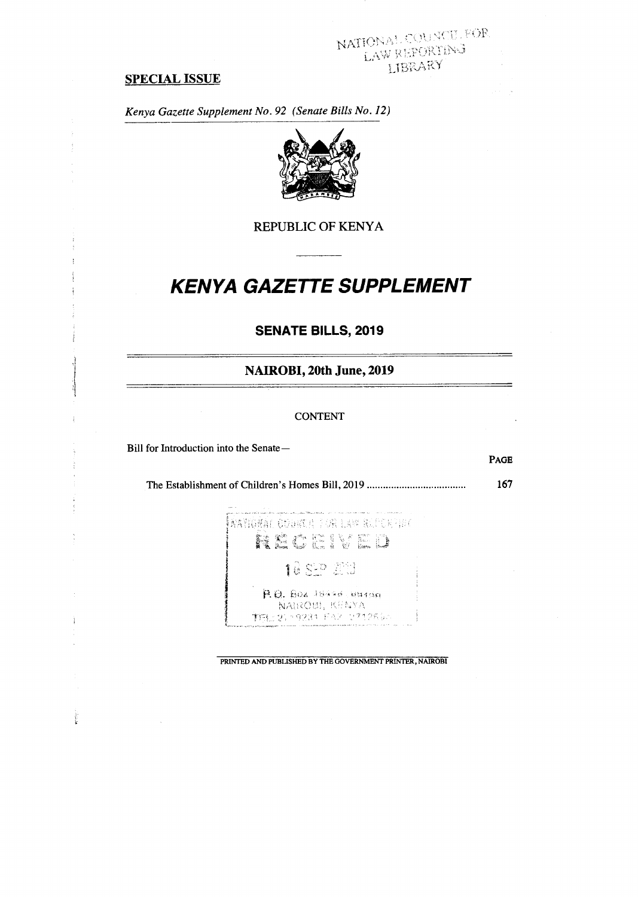# NATIONAL COUNCIL FOR LAW REPORTING

#### **SPECIAL ISSUE**

*Kenya Gazette Supplement No. 92 (Senate Bills No. 12)* 



REPUBLIC OF KENYA

# **KENYA GAZETTE SUPPLEMENT**

# **SENATE BILLS, 2019**

**NAIROBI, 20th June, 2019** 

#### CONTENT

Bill for Introduction into the Senate—

 $\frac{1}{2}$ 

**PAGE** 

The Establishment of Children's Homes Bill, 2019 **167** 

**ÎNAYIQEAL CODEC E 1 GR LAM BLECH FIDE** RECEVED 10 SEP 200 B. Q. Box 18496 - 09100 NAIROBI, KENYA THE 21 - 9234 FAX 2712554

PRINTED AND PUBLISHED BY THE GOVERNMENT PRINTER, NAIROBI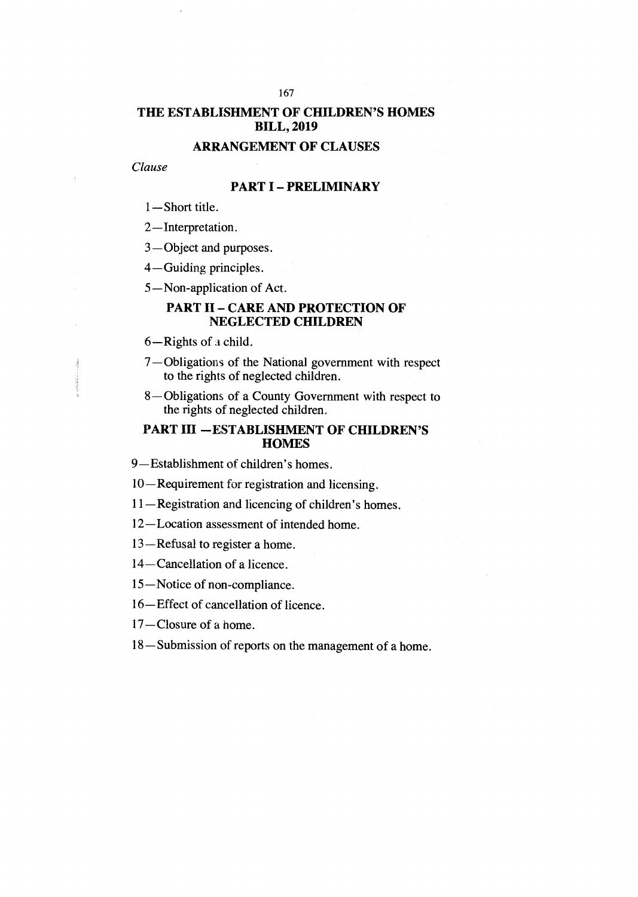# **THE ESTABLISHMENT OF CHILDREN'S HOMES BILL, 2019**

# **ARRANGEMENT OF CLAUSES**

#### *Clause*

# **PART I — PRELIMINARY**

- 1—Short title.
- 2—Interpretation.

3—Object and purposes.

4—Guiding principles.

5—Non-application of Act.

# **PART II — CARE AND PROTECTION OF NEGLECTED CHILDREN**

6—Rights of a child.

- 7—Obligations of the National government with respect to the rights of neglected children.
- 8—Obligations of a County Government with respect to the rights of neglected children.

# **PART III —ESTABLISHMENT OF CHILDREN'S HOMES**

9—Establishment of children's homes.

10—Requirement for registration and licensing.

11—Registration and licencing of children's homes.

12—Location assessment of intended home.

- 13—Refusal to register a home.
- 14—Cancellation of a licence.

15—Notice of non-compliance.

16—Effect of cancellation of licence.

17—Closure of a home.

18—Submission of reports on the management of a home.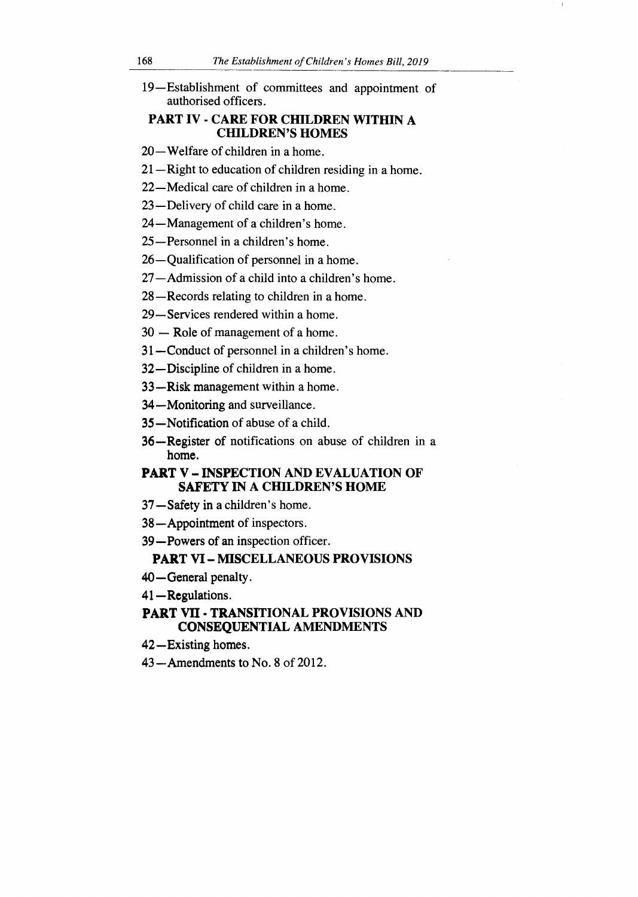19—Establishment of committees and appointment of authorised officers.

# **PART IV - CARE FOR CHILDREN WITHIN A CHILDREN'S HOMES**

- 20—Welfare of children in a home.
- 21—Right to education of children residing in a home.

22—Medical care of children in a home.

- 23—Delivery of child care in a home.
- 24—Management of a children's home.
- 25—Personnel in a children's home.
- 26—Qualification of personnel in a home.
- 27—Admission of a child into a children's home.
- 28—Records relating to children in a home.
- 29—Services rendered within a home.
- 30 Role of management of a home.
- **31—Conduct** of personnel in a children's home.
- **32—Discipline** of children in a home.
- **33 —Risk** management within a home.
- **34—Monitoring** and surveillance.
- **35—Notification** of abuse of a child.
- **36—Register of** notifications on abuse of children in a **home.**

# **PART V — INSPECTION AND EVALUATION OF SAFETY IN A CHILDREN'S HOME**

- **37—Safety in a children's** home.
- **38—Appointment of** inspectors.
- **39—Powers of an** inspection officer.

# **PART VI — MISCELLANEOUS PROVISIONS**

- **40—General penalty.**
- **41—Regulations.**

# **PART VII - TRANSITIONAL PROVISIONS AND CONSEQUENTIAL AMENDMENTS**

- **42—Existing homes.**
- 43—Amendments **to No.** 8 of 2012.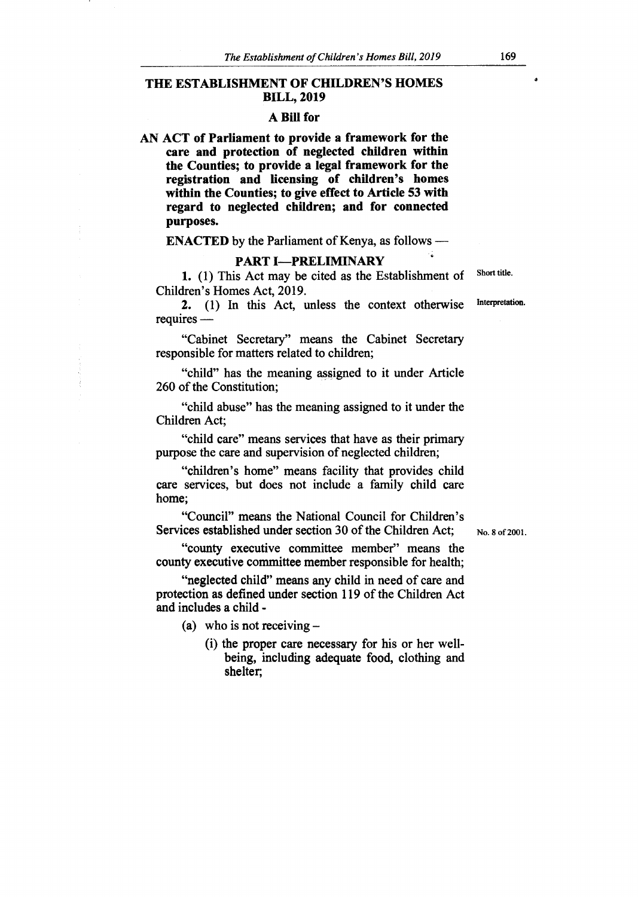#### **THE ESTABLISHMENT OF CHILDREN'S HOMES BILL, 2019**

#### **A Bill for**

**AN ACT of Parliament to provide a framework for the care and protection of neglected children within the Counties; to provide a legal framework for the registration and licensing of children's homes within the Counties; to give effect to Article 53 with regard to neglected children; and for connected purposes.** 

**ENACTED** by the Parliament of Kenya, as follows —

#### **PART I—PRELIMINARY**

1. (1) This Act may be cited as the Establishment of Children's Homes Act, 2019.

2. (1) In this Act, unless the context otherwise requires —

"Cabinet Secretary" means the Cabinet Secretary responsible for matters related to children;

"child" has the meaning assigned to it under Article 260 of the Constitution;

"child abuse" has the meaning assigned to it under the Children Act;

"child care" means services that have as their primary purpose the care and supervision of neglected children;

"children's home" means facility that provides child care services, but does not include a family child care home;

"Council" means the National Council for Children's Services established under section 30 of the Children Act;

No. 8 of 2001.

"county executive committee member" means the county executive committee member responsible for health;

"neglected child" means any child in need of care and protection as defined under section 119 of the Children Act and includes a child -

(a) who is not receiving  $-$ 

(i) the proper care necessary for his or her wellbeing, including adequate food, clothing and shelter;

Short title.

Interpretation.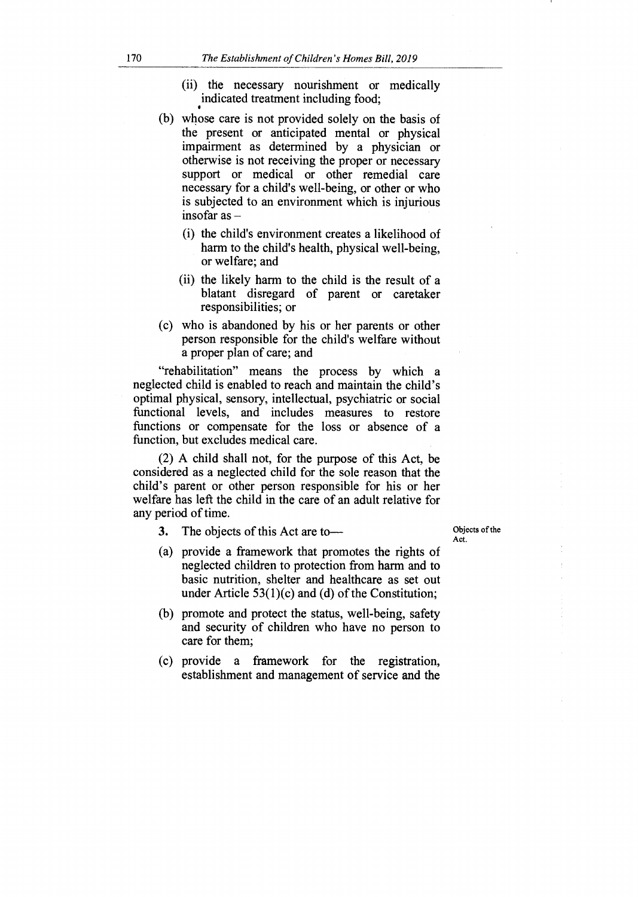- (ii) the necessary nourishment or medically indicated treatment including food;
- (b) whose care is not provided solely on the basis of the present or anticipated mental or physical impairment as determined by a physician or otherwise is not receiving the proper or necessary support or medical or other remedial care necessary for a child's well-being, or other or who is subjected to an environment which is injurious insofar as —
	- (i) the child's environment creates a likelihood of harm to the child's health, physical well-being, or welfare; and
	- (ii) the likely harm to the child is the result of a blatant disregard of parent or caretaker responsibilities; or
- (c) who is abandoned by his or her parents or other person responsible for the child's welfare without a proper plan of care; and

"rehabilitation" means the process by which a neglected child is enabled to reach and maintain the child's optimal physical, sensory, intellectual, psychiatric or social functional levels, and includes measures to restore functions or compensate for the loss or absence of a function, but excludes medical care.

(2) A child shall not, for the purpose of this Act, be considered as a neglected child for the sole reason that the child's parent or other person responsible for his or her welfare has left the child in the care of an adult relative for any period of time.

**3.** The objects of this Act are to—

Objects of the Act.

- (a) provide a framework that promotes the rights of neglected children to protection from harm and to basic nutrition, shelter and healthcare as set out under Article  $53(1)(c)$  and (d) of the Constitution;
- (b) promote and protect the status, well-being, safety and security of children who have no person to care for them;
- (c) provide a framework for the registration, establishment and management of service and the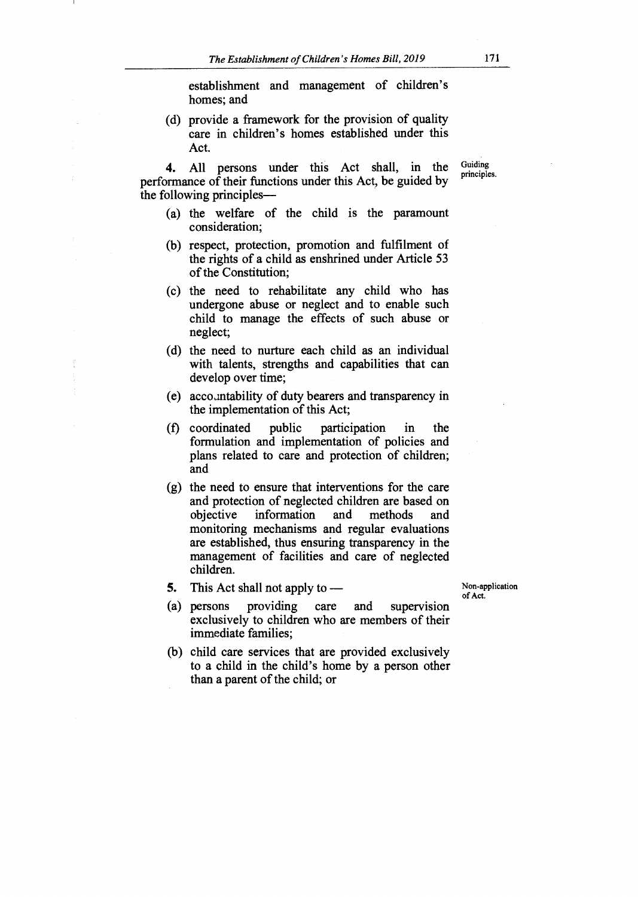establishment and management of children's homes; and

(d) provide a framework for the provision of quality care in children's homes established under this Act.

**4.** All persons under this Act shall, in the performance of their functions under this Act, be guided by the following principles—

- (a) the welfare of the child is the paramount consideration;
- (b) respect, protection, promotion and fulfilment of the rights of a child as enshrined under Article 53 of the Constitution;
- (c) the need to rehabilitate any child who has undergone abuse or neglect and to enable such child to manage the effects of such abuse or neglect;
- (d) the need to nurture each child as an individual with talents, strengths and capabilities that can develop over time;
- (e) accountability of duty bearers and transparency in the implementation of this Act;
- (f) coordinated public participation in the formulation and implementation of policies and plans related to care and protection of children; and
- (g) the need to ensure that interventions for the care and protection of neglected children are based on<br>objective information and methods and objective information and methods and monitoring mechanisms and regular evaluations are established, thus ensuring transparency in the management of facilities and care of neglected children.
- **5.** This Act shall not apply to —

Non-application of Act.

- (a) persons providing care and supervision exclusively to children who are members of their immediate families;
- (b) child care services that are provided exclusively to a child in the child's home by a person other than a parent of the child; or

Guiding principles.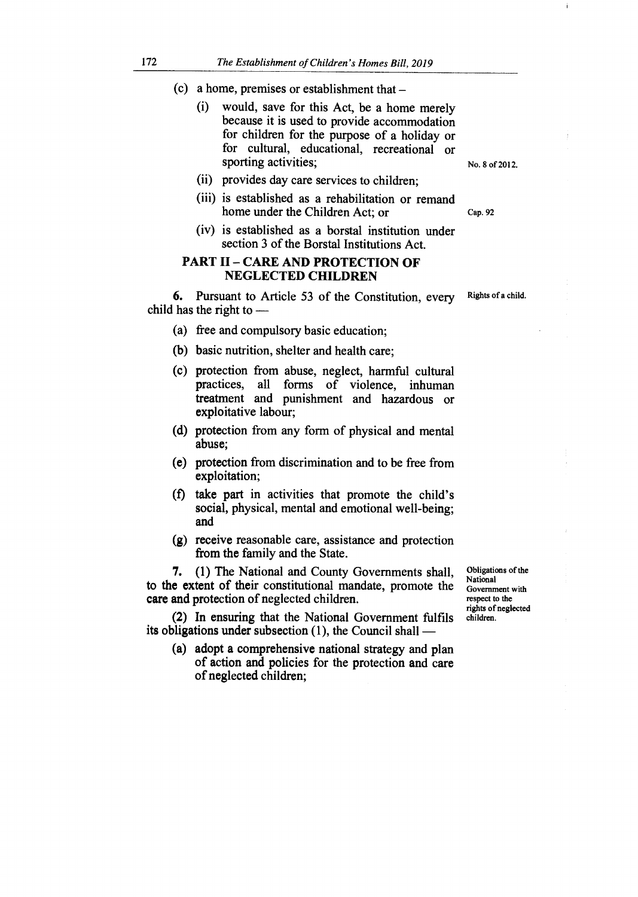- (c) a home, premises or establishment that
	- (i) would, save for this Act, be a home merely because it is used to provide accommodation for children for the purpose of a holiday or for cultural, educational, recreational or sporting activities;
	- (ii) provides day care services to children;
	- (iii) is established as a rehabilitation or remand home under the Children Act; or
	- (iv) is established as a borstal institution under section 3 of the Borstal Institutions Act.

#### **PART II — CARE AND PROTECTION OF NEGLECTED CHILDREN**

**6.** Pursuant to Article 53 of the Constitution, every child has the right to —

- (a) free and compulsory basic education;
- (b) basic nutrition, shelter and health care;
- (c) protection from abuse, neglect, harmful cultural practices, all forms of violence, inhuman treatment and punishment and hazardous or exploitative labour;
- (d) protection from any form of physical and mental abuse;
- (e) protection from discrimination and to be free from exploitation;
- (f) take part in activities that promote the child's social, physical, mental and emotional well-being; and
- (g) receive reasonable care, assistance and protection from the family and the State.

**7. (1)** The National and County Governments shall, to **the extent** of their constitutional mandate, promote the **care and protection** of neglected children.

**(2) In ensuring that the National Government fulfils its obligations under subsection (1), the Council shall —** 

**(a) adopt a comprehensive national strategy and plan of action and policies for the protection and care of neglected children;** 

Obligations of the National Government with respect to the rights of neglected children.

Rights of a child.

No. 8 of 2012.

Cap. 92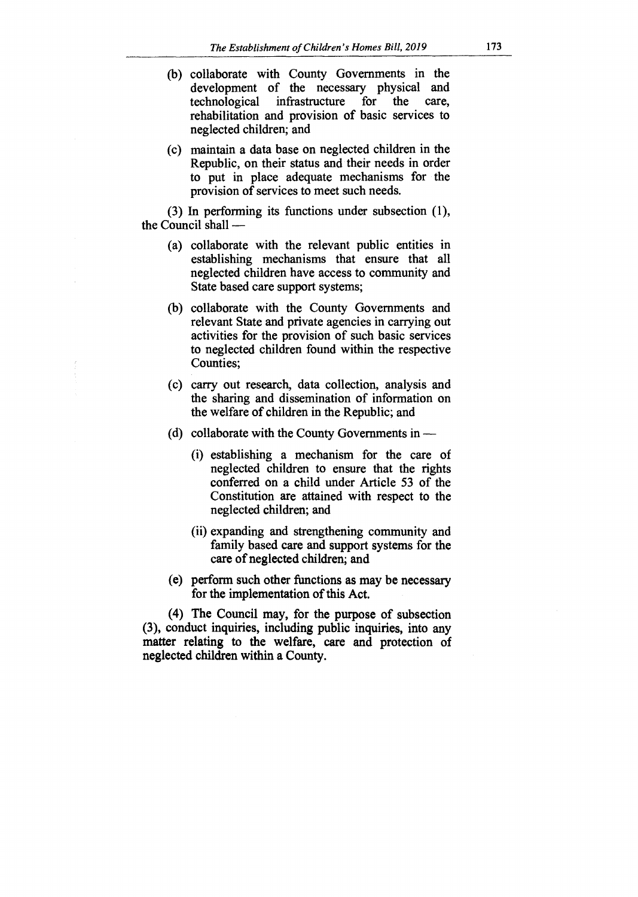- (b) collaborate with County Governments in the development of the necessary physical and technological infrastructure for the care, rehabilitation and provision of basic services to neglected children; and
- (c) maintain a data base on neglected children in the Republic, on their status and their needs in order to put in place adequate mechanisms for the provision of services to meet such needs.

(3) In performing its functions under subsection (1), the Council shall —

- (a) collaborate with the relevant public entities in establishing mechanisms that ensure that all neglected children have access to community and State based care support systems;
- (b) collaborate with the County Governments and relevant State and private agencies in carrying out activities for the provision of such basic services to neglected children found within the respective Counties;
- (c) carry out research, data collection, analysis and the sharing and dissemination of information on the welfare of children in the Republic; and
- (d) collaborate with the County Governments in
	- (i) establishing a mechanism for the care of neglected children to ensure that the rights conferred on a child under Article 53 of the Constitution are attained with respect to the neglected children; and
	- (ii) expanding and strengthening community and family based care and support systems for the care of neglected children; and
- (e) perform such other functions as may be necessary for the implementation of this Act.

**(4)** The Council may, for the purpose of subsection (3), conduct inquiries, including public inquiries, into any matter relating to the welfare, care and protection of neglected children within a County.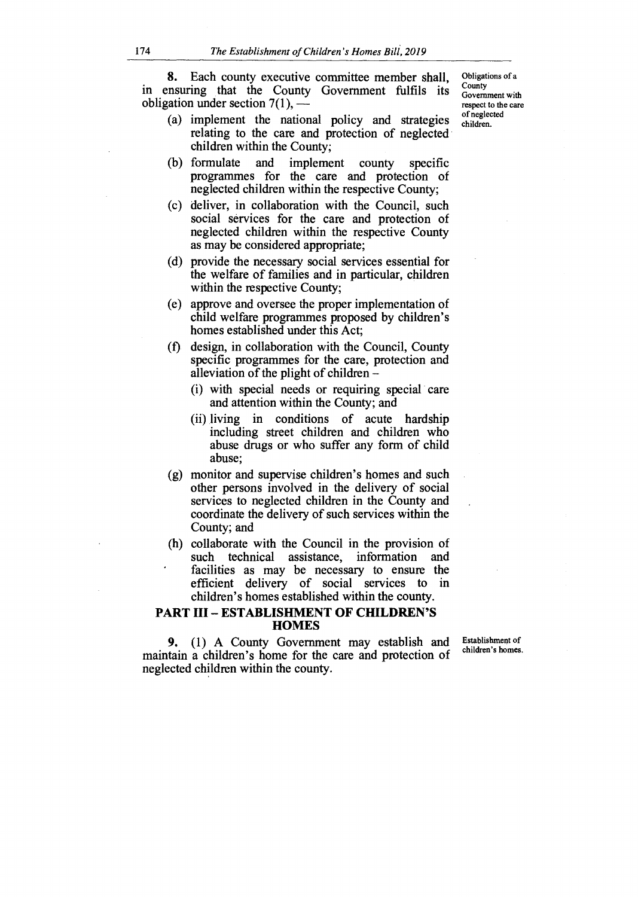**8.** Each county executive committee member shall, in ensuring that the County Government fulfils its obligation under section  $7(1)$ , —

- (a) implement the national policy and strategies relating to the care and protection of neglected children within the County;
- (b) formulate and implement county specific programmes for the care and protection of neglected children within the respective County;
- (c) deliver, in collaboration with the Council, such social services for the care and protection of neglected children within the respective County as may be considered appropriate;
- (d) provide the necessary social services essential for the welfare of families and in particular, children within the respective County;
- (e) approve and oversee the proper implementation of child welfare programmes proposed by children's homes established under this Act;
- (f) design, in collaboration with the Council, County specific programmes for the care, protection and alleviation of the plight of children —
	- (i) with special needs or requiring special care and attention within the County; and
	- (ii) living in conditions of acute hardship including street children and children who abuse drugs or who suffer any form of child abuse;
- (g) monitor and supervise children's homes and such other persons involved in the delivery of social services to neglected children in the County and coordinate the delivery of such services within the County; and
- (h) collaborate with the Council in the provision of such technical assistance, information and facilities as may be necessary to ensure the efficient delivery of social services to in children's homes established within the county.

#### **PART III — ESTABLISHMENT OF CHILDREN'S HOMES**

**9.** (1) A County Government may establish and maintain a children's home for the care and protection of neglected children within the county.

Establishment of children's homes.

Obligations of a **County** Government with respect to the care of neglected children.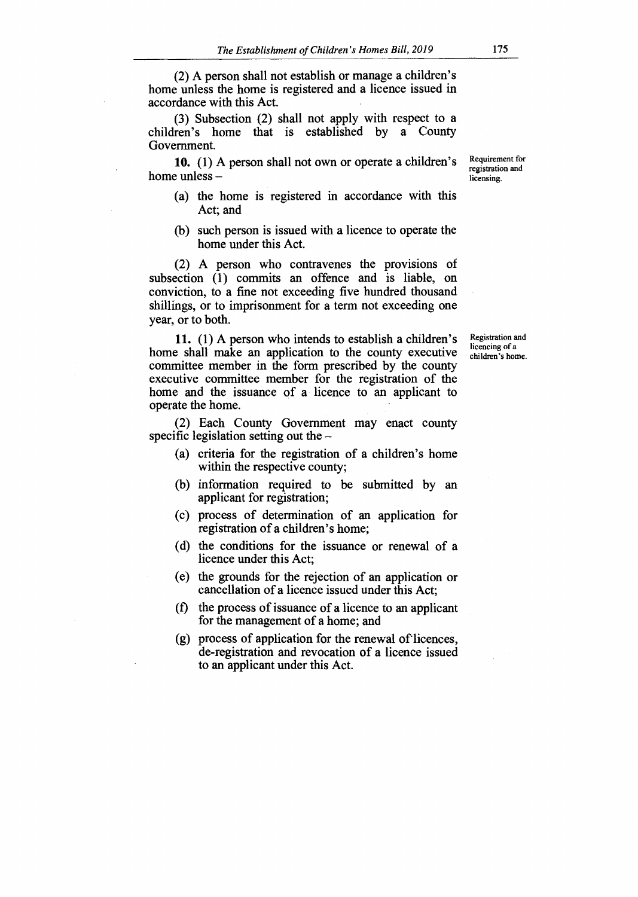(2) A person shall not establish or manage a children's home unless the home is registered and a licence issued in accordance with this Act.

(3) Subsection (2) shall not apply with respect to a children's home that is established by a County Government.

10. (1) A person shall not own or operate a children's home unless —

- (a) the home is registered in accordance with this Act; and
- (b) such person is issued with a licence to operate the home under this Act.

(2) A person who contravenes the provisions of subsection (1) commits an offence and is liable, on conviction, to a fine not exceeding five hundred thousand shillings, or to imprisonment for a term not exceeding one year, or to both.

11. (1) A person who intends to establish a children's home shall make an application to the county executive committee member in the form prescribed by the county executive committee member for the registration of the home and the issuance of a licence to an applicant to operate the home.

(2) Each County Government may enact county specific legislation setting out the —

- (a) criteria for the registration of a children's home within the respective county;
- (b) information required to be submitted by an applicant for registration;
- (c) process of determination of an application for registration of a children's home;
- (d) the conditions for the issuance or renewal of a licence under this Act;
- (e) the grounds for the rejection of an application or cancellation of a licence issued under this Act;
- (f) the process of issuance of a licence to an applicant for the management of a home; and
- $(g)$  process of application for the renewal of licences, de-registration and revocation of a licence issued to an applicant under this Act.

Requirement for registration and licensing.

Registration and licencing of a children's home.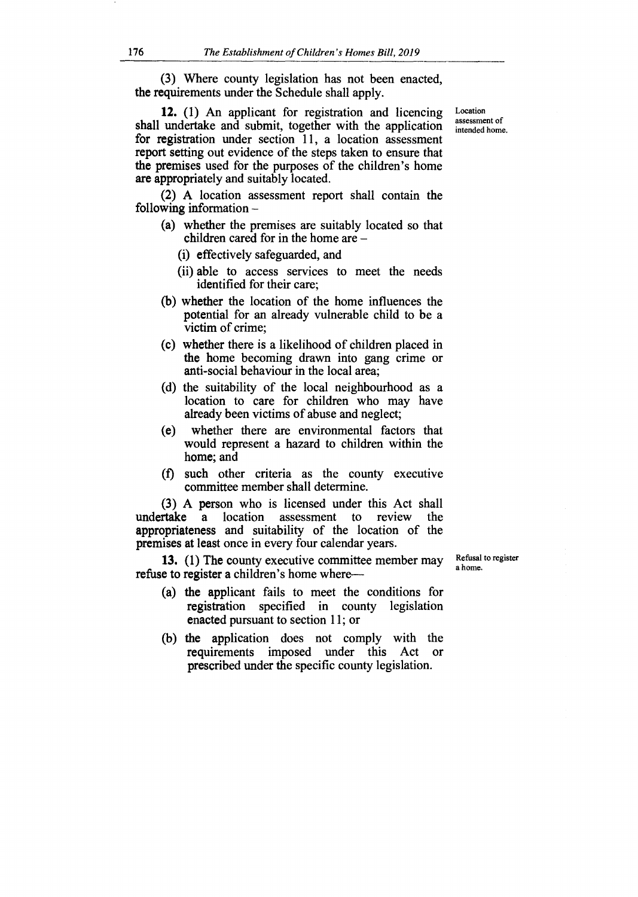(3) Where county legislation has not been enacted, **the requirements** under the Schedule shall apply.

**12.** (1) An applicant for registration and licencing shall undertake and submit, together with the application for registration under section 11, a location assessment report setting out evidence of the steps taken to ensure that the premises used for the purposes of the children's home are appropriately and suitably located.

(2) A location assessment report shall contain the following information —

- (a) whether the premises are suitably located so that children cared for in the home are —
	- (i) effectively safeguarded, and
	- (ii) able to access services to meet the needs identified for their care;
- **(b)** whether the location of the home influences the potential for an already vulnerable child to be a victim of crime;
- (c) whether there is a likelihood of children placed in the home becoming drawn into gang crime or anti-social behaviour in the local area;
- (d) the suitability of the local neighbourhood as a location to care for children who may have already been victims of abuse and neglect;
- (e) whether there are environmental factors that would represent a hazard to children within the home; and
- (f) such other criteria as the county executive committee member shall determine.

(3) A person who is licensed under this Act shall related a location assessment to review the undertake a location assessment to review appropriateness and suitability of the location of the premises at least once in every four calendar years.

**13. (1) The** county executive committee member may refuse to register a children's home where—

Refusal to register a home.

- (a) the applicant fails to meet the conditions for registration specified in county legislation enacted pursuant to section 11; or
- (b) the application does not comply with the requirements imposed under this Act or prescribed under the specific county legislation.

Location assessment of intended home.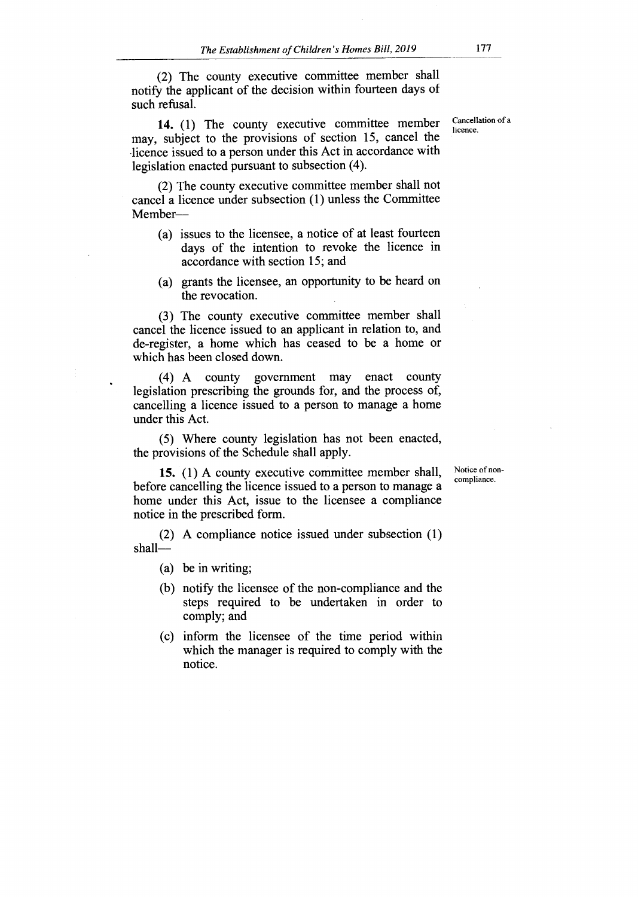(2) The county executive committee member shall notify the applicant of the decision within fourteen days of such refusal.

**14.** (1) The county executive committee member may, subject to the provisions of section 15, cancel the licence issued to a person under this Act in accordance with legislation enacted pursuant to subsection (4).

(2) The county executive committee member shall not cancel a licence under subsection (1) unless the Committee Member—

- (a) issues to the licensee, a notice of at least fourteen days of the intention to revoke the licence in accordance with section 15; and
- (a) grants the licensee, an opportunity to be heard on the revocation.

(3) The county executive committee member shall cancel the licence issued to an applicant in relation to, and de-register, a home which has ceased to be a home or which has been closed down.

(4) A county government may enact county legislation prescribing the grounds for, and the process of, cancelling a licence issued to a person to manage a home under this Act.

(5) Where county legislation has not been enacted, the provisions of the Schedule shall apply.

> Notice of noncompliance.

**15.** (1) A county executive committee member shall, before cancelling the licence issued to a person to manage a home under this Act, issue to the licensee a compliance notice in the prescribed form.

(2) A compliance notice issued under subsection (1) shall—

- (a) be in writing;
- (b) notify the licensee of the non-compliance and the steps required to be undertaken in order to comply; and
- (c) inform the licensee of the time period within which the manager is required to comply with the notice.

Cancellation of a licence.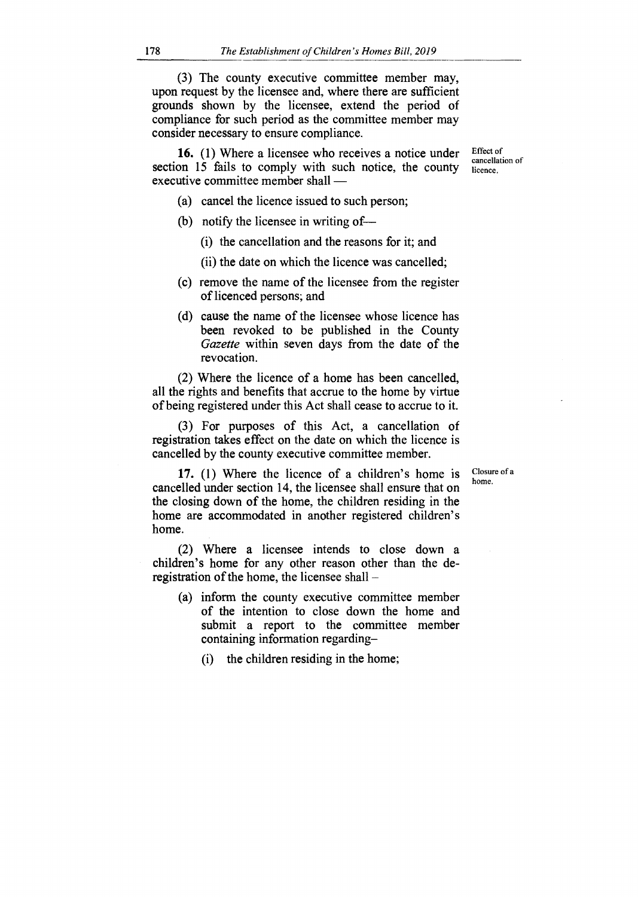(3) The county executive committee member may, upon request by the licensee and, where there are sufficient grounds shown by the licensee, extend the period of compliance for such period as the committee member may consider necessary to ensure compliance.

**16.** (1) Where a licensee who receives a notice under section 15 fails to comply with such notice, the county executive committee member shall —

Effect of cancellation of licence.

- (a) cancel the licence issued to such person;
- (b) notify the licensee in writing of—
	- (i) the cancellation and the reasons for it; and
	- (ii) the date on which the licence was cancelled;
- (c) remove the name of the licensee from the register of licenced persons; and
- (d) cause the name of the licensee whose licence has been revoked to be published in the County *Gazette* within seven days from the date of the revocation.

(2) Where the licence of a home has been cancelled, all the rights and benefits that accrue to the home by virtue of being registered under this Act shall cease to accrue to it.

(3) For purposes of this Act, a cancellation of registration takes effect on the date on which the licence is cancelled by the county executive committee member.

> Closure of a home.

**17.** (1) Where the licence of a children's home is cancelled under section 14, the licensee shall ensure that on the closing down of the home, the children residing in the home are accommodated in another registered children's home.

(2) Where a licensee intends to close down a children's home for any other reason other than the deregistration of the home, the licensee shall —

- (a) inform the county executive committee member of the intention to close down the home and submit a report to the committee member containing information regarding—
	- (i) the children residing in the home;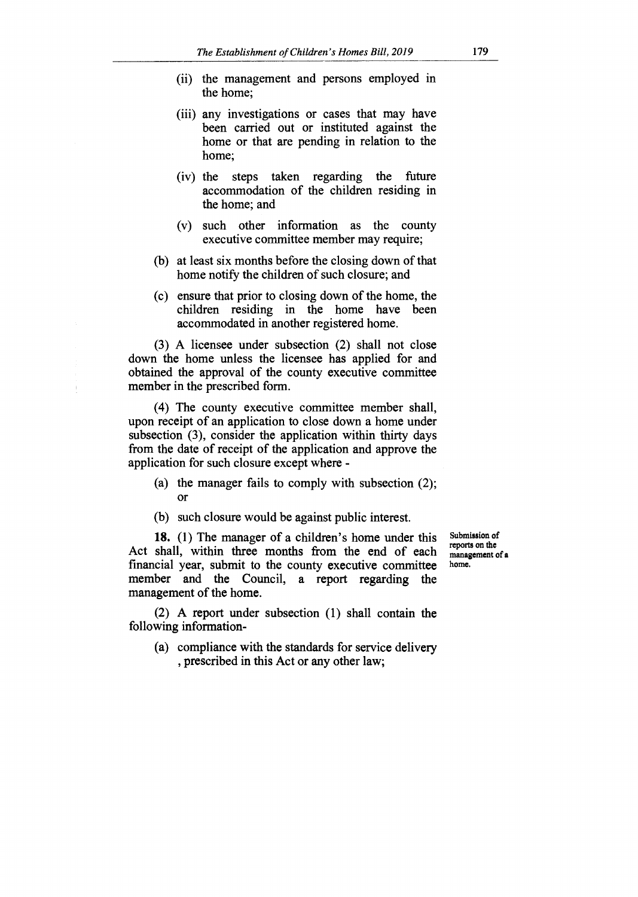- (ii) the management and persons employed in the home;
- (iii) any investigations or cases that may have been carried out or instituted against the home or that are pending in relation to the home;
- (iv) the steps taken regarding the future accommodation of the children residing in the home; and
- (v) such other information as the county executive committee member may require;
- (b) at least six months before the closing down of that home notify the children of such closure; and
- (c) ensure that prior to closing down of the home, the children residing in the home have been accommodated in another registered home.

(3) A licensee under subsection (2) shall not close down the home unless the licensee has applied for and obtained the approval of the county executive committee member in the prescribed form.

(4) The county executive committee member shall, upon receipt of an application to close down a home under subsection (3), consider the application within thirty days from the date of receipt of the application and approve the application for such closure except where -

- (a) the manager fails to comply with subsection (2); Or
- (b) such closure would be against public interest.

**18.** (1) The manager of a children's home under this Act shall, within three months from the end of each financial year, submit to the county executive committee member and the Council, a report regarding the management of the home.

Submission of reports on the management of a home.

(2) A report under subsection (1) shall contain the following information-

(a) compliance with the standards for service delivery , prescribed in this Act or any other law;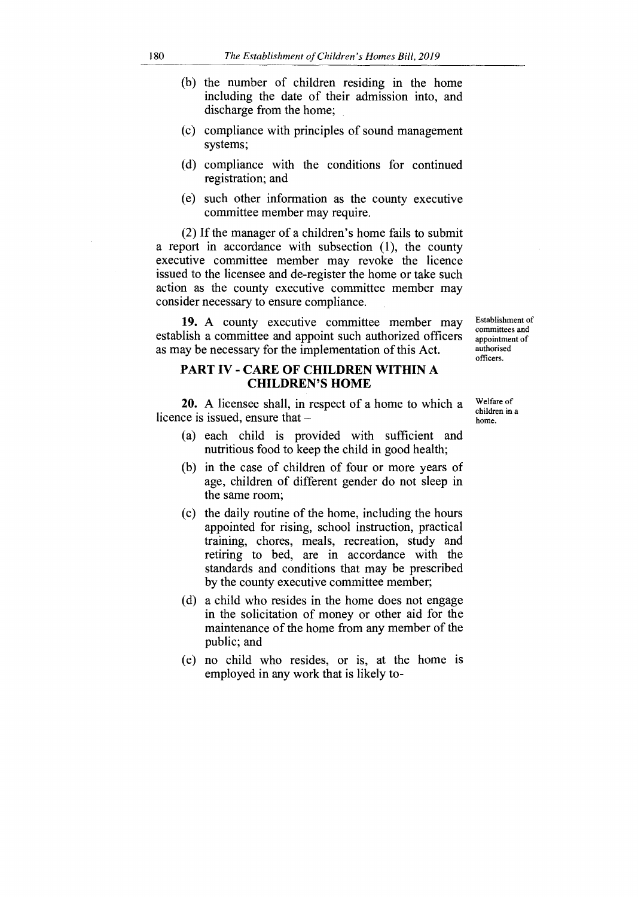- (b) the number of children residing in the home including the date of their admission into, and discharge from the home;
- (c) compliance with principles of sound management systems;
- (d) compliance with the conditions for continued registration; and
- (e) such other information as the county executive committee member may require.

(2) If the manager of a children's home fails to submit a report in accordance with subsection (1), the county executive committee member may revoke the licence issued to the licensee and de-register the home or take such action as the county executive committee member may consider necessary to ensure compliance.

19. A county executive committee member may establish a committee and appoint such authorized officers as may be necessary for the implementation of this Act.

# **PART IV - CARE OF CHILDREN WITHIN A CHILDREN'S HOME**

20. A licensee shall, in respect of a home to which a licence is issued, ensure that —

- (a) each child is provided with sufficient and nutritious food to keep the child in good health;
- (b) in the case of children of four or more years of age, children of different gender do not sleep in the same room;
- (c) the daily routine of the home, including the hours appointed for rising, school instruction, practical training, chores, meals, recreation, study and retiring to bed, are in accordance with the standards and conditions that may be prescribed by the county executive committee member;
- (d) a child who resides in the home does not engage in the solicitation of money or other aid for the maintenance of the home from any member of the public; and
- (e) no child who resides, or is, at the home is employed in any work that is likely to-

Establishment of committees and appointment of authorised officers.

Welfare of children in a home.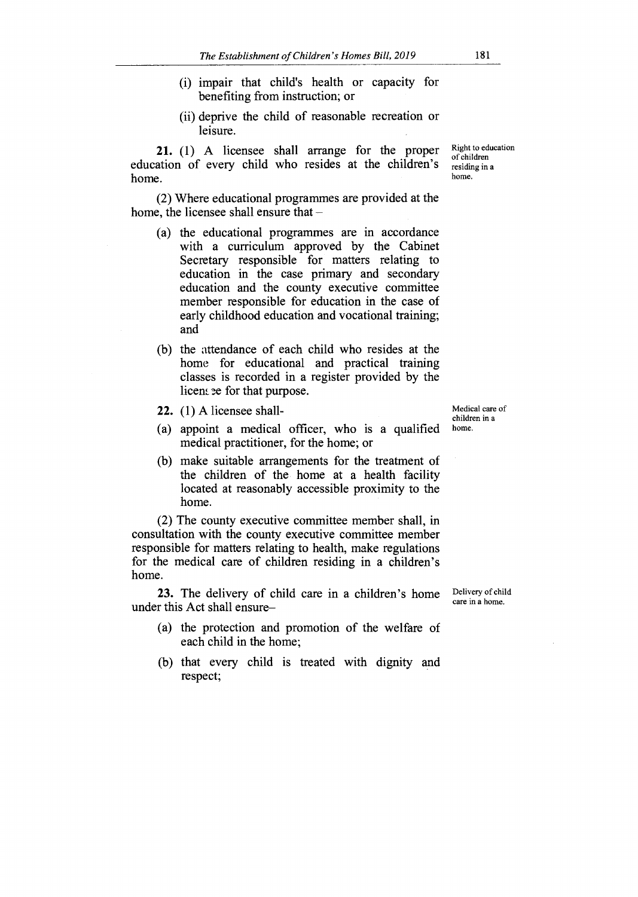- (i) impair that child's health or capacity for benefiting from instruction; or
- (ii) deprive the child of reasonable recreation or leisure.

**21.** (1) A licensee shall arrange for the proper education of every child who resides at the children's home.

(2) Where educational programmes are provided at the home, the licensee shall ensure that —

- (a) the educational programmes are in accordance with a curriculum approved by the Cabinet Secretary responsible for matters relating to education in the case primary and secondary education and the county executive committee member responsible for education in the case of early childhood education and vocational training; and
- (b) the attendance of each child who resides at the home for educational and practical training classes is recorded in a register provided by the licens ee for that purpose.
- **22.** (1) A licensee shall-
- (a) appoint a medical officer, who is a qualified medical practitioner, for the home; or
- (b) make suitable arrangements for the treatment of the children of the home at a health facility located at reasonably accessible proximity to the home.

(2) The county executive committee member shall, in consultation with the county executive committee member responsible for matters relating to health, make regulations for the medical care of children residing in a children's home.

**23.** The delivery of child care in a children's home under this Act shall ensure—

- (a) the protection and promotion of the welfare of each child in the home;
- (b) that every child is treated with dignity and respect;

Medical care of children in a home.

Right to education of children residing in a home.

Delivery of child care in a home.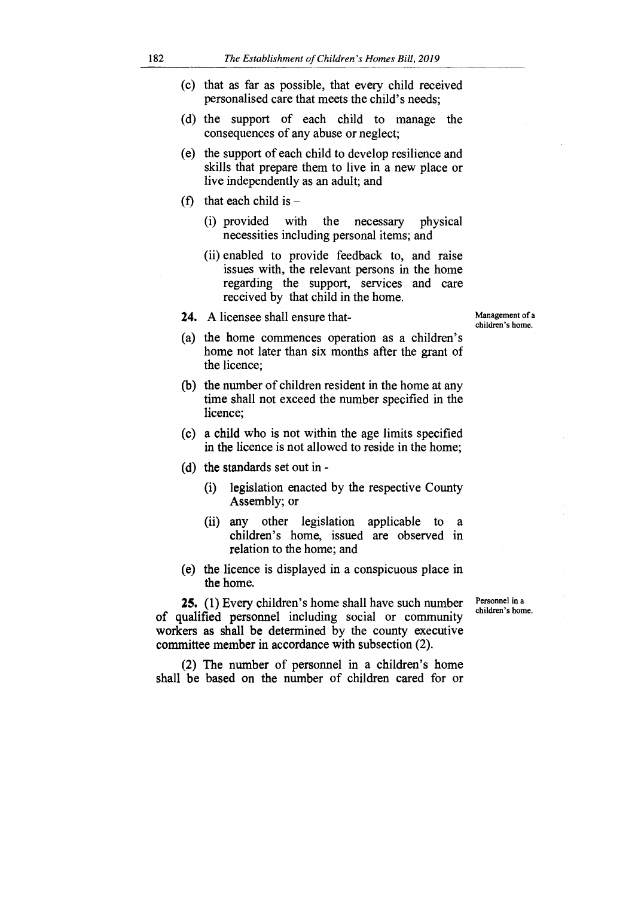- (c) that as far as possible, that every child received personalised care that meets the child's needs;
- (d) the support of each child to manage the consequences of any abuse or neglect;
- (e) the support of each child to develop resilience and skills that prepare them to live in a new place or live independently as an adult; and
- (f) that each child is  $-$ 
	- (i) provided with the necessary physical necessities including personal items; and
	- (ii) enabled to provide feedback to, and raise issues with, the relevant persons in the home regarding the support, services and care received by that child in the home.
- 24. A licensee shall ensure that-

Management of a children's home.

- (a) the home commences operation as a children's home not later than six months after the grant of the licence;
- (b) the number of children resident in the home at any time shall not exceed the number specified in the licence;
- (c) a child who is not within the age limits specified in the licence is not allowed to reside in the home;
- (d) the standards set out in
	- (i) legislation enacted by the respective County Assembly; or
	- (ii) any other legislation applicable to a children's home, issued are observed in relation to the home; and
- (e) the licence is displayed in a conspicuous place in the home.

25. (1) Every children's home shall have such number of qualified personnel including social or community workers as shall be determined by the county executive committee member in accordance with subsection (2).

(2) The number of personnel in a children's home shall be based on the number of children cared for or Personnel in a children's home.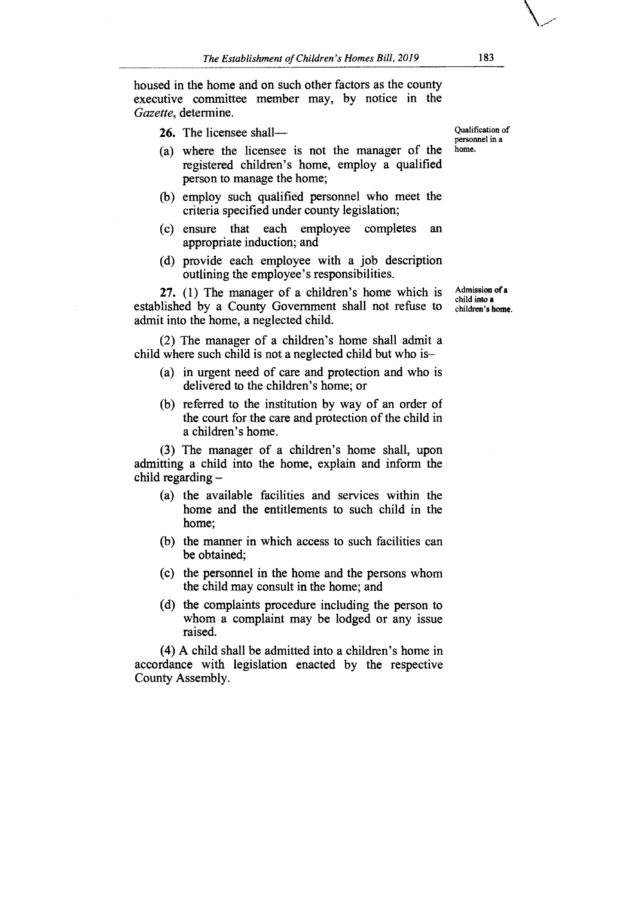housed in the home and on such other factors as the county executive committee member may, by notice in the *Gazette,* determine

**26.** The licensee shall—

- (a) where the licensee is not the manager of the registered children's home, employ a qualified person to manage the home;
- (b) employ such qualified personnel who meet the criteria specified under county legislation;
- (c) ensure that each employee completes an appropriate induction; and
- (d) provide each employee with a job description outlining the employee's responsibilities.

**27.** (1) The manager of a children's home which is established by a County Government shall not refuse to admit into the home, a neglected child.

(2) The manager of a children's home shall admit a child where such child is not a neglected child but who is—

- (a) in urgent need of care and protection and who is delivered to the children's home; or
- (b) referred to the institution by way of an order of the court for the care and protection of the child in a children's home.

(3) The manager of a children's home shall, upon admitting a child into the home, explain and inform the child regarding —

- (a) the available facilities and services within the home and the entitlements to such child in the home;
- (b) the manner in which access to such facilities can be obtained;
- (c) the personnel in the home and the persons whom the child may consult in the home; and
- (d) the complaints procedure including the person to whom a complaint may be lodged or any issue raised.

(4) A child shall be admitted into a children's home in accordance with legislation enacted by the respective County Assembly.

Qualification of personnel in a home.

Admission of **a**  child into a children's **home.**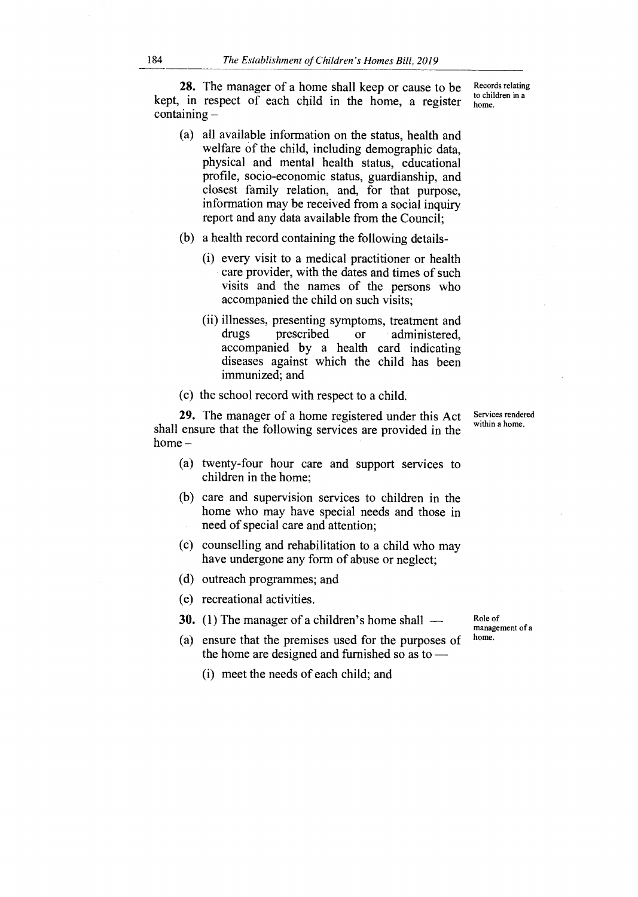**28.** The manager of a home shall keep or cause to be kept, in respect of each child in the home, a register containing —

- (a) all available information on the status, health and welfare of the child, including demographic data, physical and mental health status, educational profile, socio-economic status, guardianship, and closest family relation, and, for that purpose, information may be received from a social inquiry report and any data available from the Council;
- (b) a health record containing the following details-
	- (i) every visit to a medical practitioner or health care provider, with the dates and times of such visits and the names of the persons who accompanied the child on such visits;
	- (ii) illnesses, presenting symptoms, treatment and<br>drugs prescribed or administered. drugs prescribed or administered, accompanied by a health card indicating diseases against which the child has been immunized; and
- (c) the school record with respect to a child.

**29.** The manager of a home registered under this Act shall ensure that the following services are provided in the home —

- (a) twenty-four hour care and support services to children in the home;
- (b) care and supervision services to children in the home who may have special needs and those in need of special care and attention;
- (c) counselling and rehabilitation to a child who may have undergone any form of abuse or neglect;
- (d) outreach programmes; and
- (e) recreational activities.
- **30.** (1) The manager of a children's home shall —
- (a) ensure that the premises used for the purposes of the home are designed and furnished so as to —
	- (i) meet the needs of each child; and

Services rendered within a home.

Role of management of a home.

Records relating to children in a home.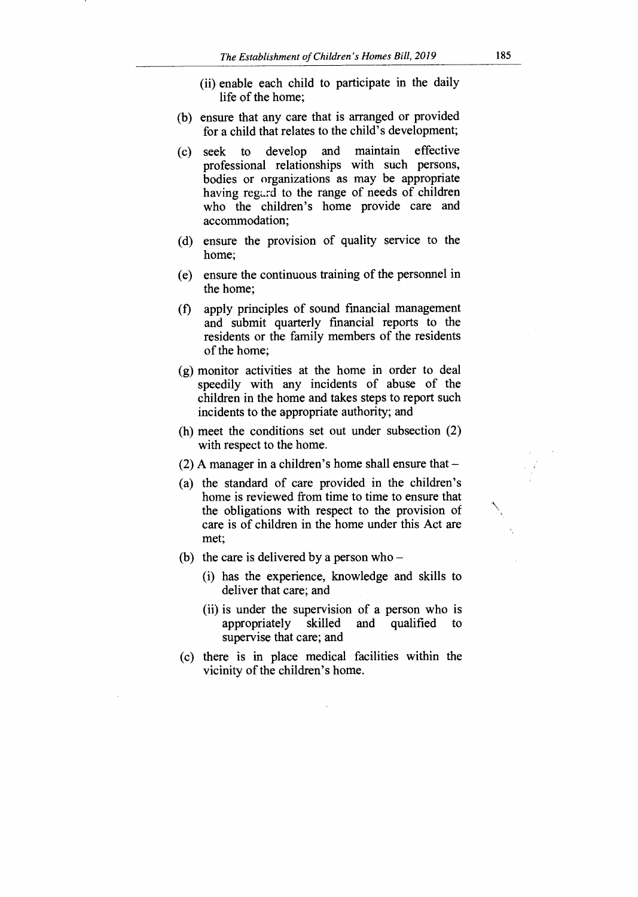- (ii) enable each child to participate in the daily life of the home;
- (b) ensure that any care that is arranged or provided for a child that relates to the child's development;
- (c) seek to develop and maintain effective professional relationships with such persons, bodies or organizations as may be appropriate having regard to the range of needs of children who the children's home provide care and accommodation;
- (d) ensure the provision of quality service to the home;
- (e) ensure the continuous training of the personnel in the home;
- (f) apply principles of sound financial management and submit quarterly financial reports to the residents or the family members of the residents of the home;
- (g) monitor activities at the home in order to deal speedily with any incidents of abuse of the children in the home and takes steps to report such incidents to the appropriate authority; and
- (h) meet the conditions set out under subsection (2) with respect to the home.
- $(2)$  A manager in a children's home shall ensure that  $-$
- (a) the standard of care provided in the children's home is reviewed from time to time to ensure that the obligations with respect to the provision of care is of children in the home under this Act are met;
- (b) the care is delivered by a person who  $-$ 
	- (i) has the experience, knowledge and skills to deliver that care; and
	- (ii) is under the supervision of a person who is appropriately skilled and qualified to appropriately skilled and qualified to supervise that care; and
- (c) there is in place medical facilities within the vicinity of the children's home.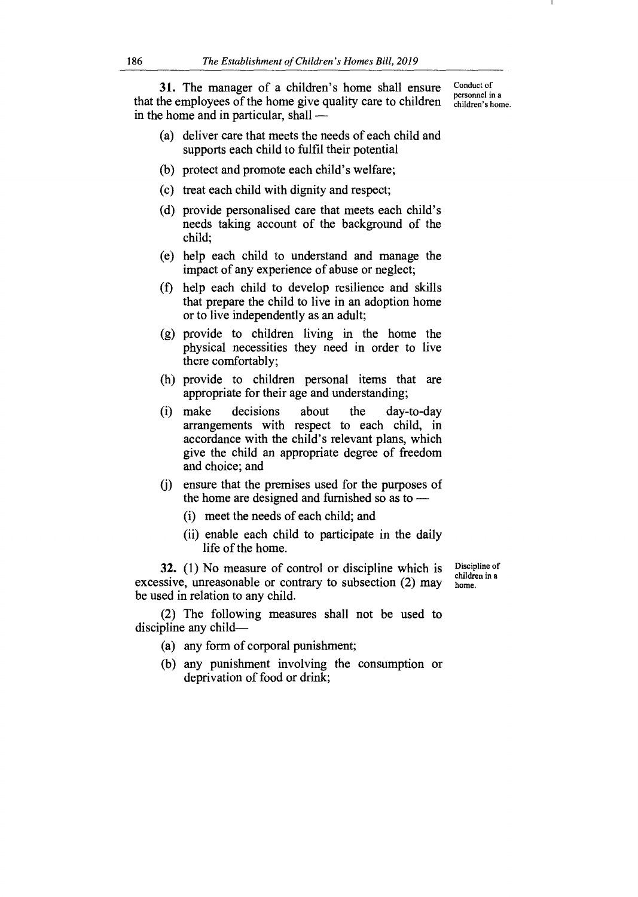**31.** The manager of a children's home shall ensure that the employees of the home give quality care to children in the home and in particular, shall —

Conduct of personnel in a children's home.

- (a) deliver care that meets the needs of each child and supports each child to fulfil their potential
- (b) protect and promote each child's welfare;
- (c) treat each child with dignity and respect;
- (d) provide personalised care that meets each child's needs taking account of the background of the child;
- (e) help each child to understand and manage the impact of any experience of abuse or neglect;
- (f) help each child to develop resilience and skills that prepare the child to live in an adoption home or to live independently as an adult;
- (g) provide to children living in the home the physical necessities they need in order to live there comfortably;
- (h) provide to children personal items that are appropriate for their age and understanding;
- (i) make decisions about the day-to-day arrangements with respect to each child, in accordance with the child's relevant plans, which give the child an appropriate degree of freedom and choice; and
- (j) ensure that the premises used for the purposes of the home are designed and furnished so as to —
	- (i) meet the needs of each child; and
	- (ii) enable each child to participate in the daily life of the home.

**32.** (1) No measure of control or discipline which is excessive, unreasonable or contrary to subsection (2) may be used in relation to any child.

Discipline of children in a home.

(2) The following measures shall not be used to discipline any child—

- (a) any form of corporal punishment;
- (b) any punishment involving the consumption or deprivation of food or drink;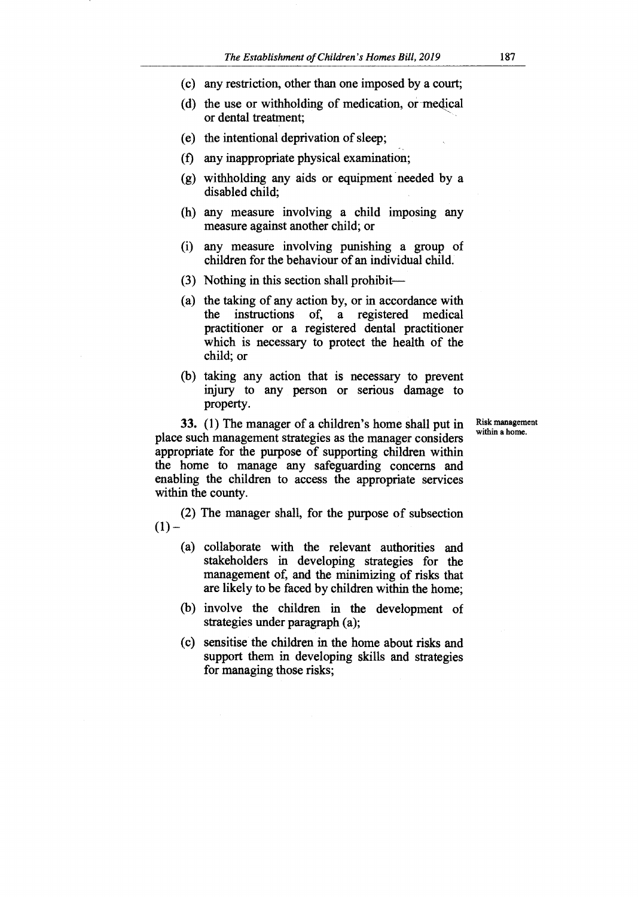- (c) any restriction, other than one imposed by a court;
- (d) the use or withholding of medication, or medical or dental treatment;
- (e) the intentional deprivation of sleep;
- (f) any inappropriate physical examination;
- (g) withholding any aids or equipment needed by a disabled child;
- (h) any measure involving a child imposing any measure against another child; or
- (i) any measure involving punishing a group of children for the behaviour of an individual child.
- (3) Nothing in this section shall prohibit—
- (a) the taking of any action by, or in accordance with the instructions of, a registered medical practitioner or a registered dental practitioner which is necessary to protect the health of the child; or
- (b) taking any action that is necessary to prevent injury to any person or serious damage to property.

Risk management within a home.

**33.** (1) The manager of a children's home shall put in place such management strategies as the manager considers appropriate for the purpose of supporting children within the home to manage any safeguarding concerns and enabling the children to access the appropriate services within the county.

(2) The manager shall, for the purpose of subsection  $(1)$  –

- (a) collaborate with the relevant authorities and stakeholders in developing strategies for the management of, and the minimizing of risks that are likely to be faced by children within the home;
- (b) involve the children in the development of strategies under paragraph (a);
- (c) sensitise the children in the home about risks and support them in developing skills and strategies for managing those risks;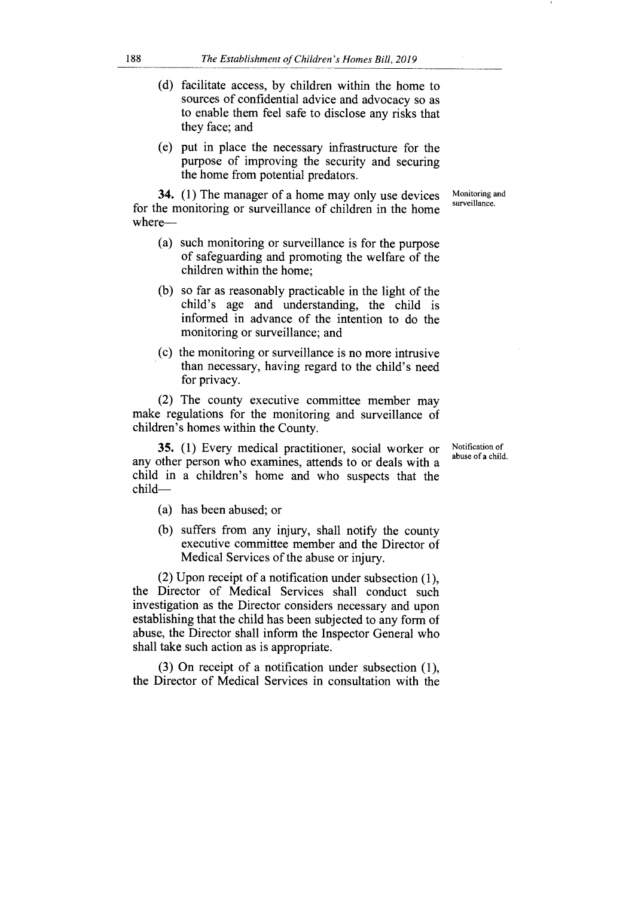- (d) facilitate access, by children within the home to sources of confidential advice and advocacy so as to enable them feel safe to disclose any risks that they face; and
- (e) put in place the necessary infrastructure for the purpose of improving the security and securing the home from potential predators.

Monitoring and surveillance.

- **34.** (1) The manager of a home may only use devices for the monitoring or surveillance of children in the home where—
	- (a) such monitoring or surveillance is for the purpose of safeguarding and promoting the welfare of the children within the home;
	- (b) so far as reasonably practicable in the light of the child's age and understanding, the child is informed in advance of the intention to do the monitoring or surveillance; and
	- (c) the monitoring or surveillance is no more intrusive than necessary, having regard to the child's need for privacy.

(2) The county executive committee member may make regulations for the monitoring and surveillance of children's homes within the County.

**35.** (1) Every medical practitioner, social worker or any other person who examines, attends to or deals with a child in a children's home and who suspects that the child—

- (a) has been abused; or
- (b) suffers from any injury, shall notify the county executive committee member and the Director of Medical Services of the abuse or injury.

(2) Upon receipt of a notification under subsection (1), the Director of Medical Services shall conduct such investigation as the Director considers necessary and upon establishing that the child has been subjected to any form of abuse, the Director shall inform the Inspector General who shall take such action as is appropriate.

(3) On receipt of a notification under subsection (1), the Director of Medical Services in consultation with the Notification of abuse of a child.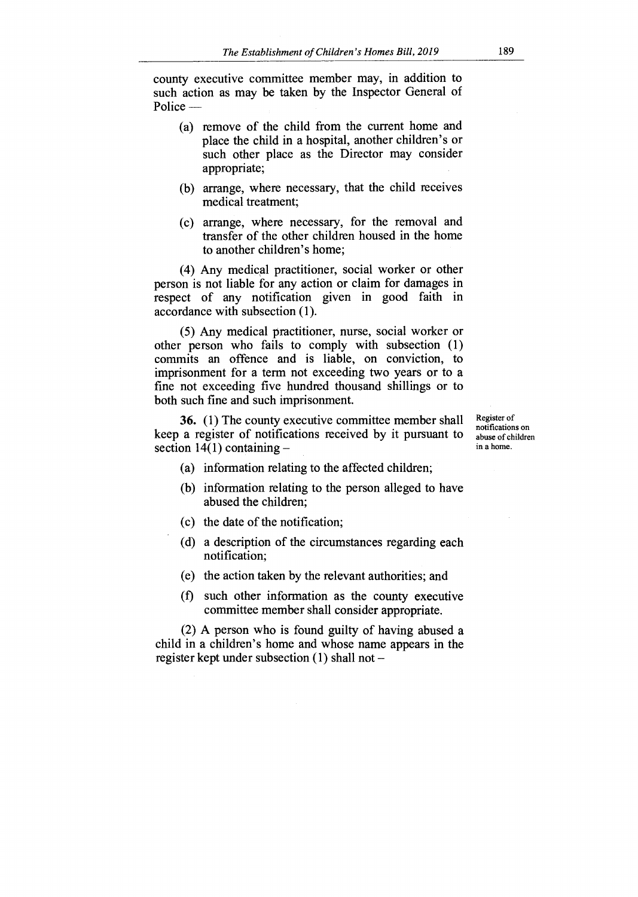county executive committee member may, in addition to such action as may be taken by the Inspector General of Police —

- (a) remove of the child from the current home and place the child in a hospital, another children's or such other place as the Director may consider appropriate;
- (b) arrange, where necessary, that the child receives medical treatment;
- (c) arrange, where necessary, for the removal and transfer of the other children housed in the home to another children's home;

(4) Any medical practitioner, social worker or other person is not liable for any action or claim for damages in respect of any notification given in good faith in accordance with subsection (1).

(5) Any medical practitioner, nurse, social worker or other person who fails to comply with subsection (1) commits an offence and is liable, on conviction, to imprisonment for a term not exceeding two years or to a fine not exceeding five hundred thousand shillings or to both such fine and such imprisonment.

**36.** (1) The county executive committee member shall keep a register of notifications received by it pursuant to section  $14(1)$  containing  $-$ 

Register of notifications on abuse of children in a home.

- (a) information relating to the affected children;
- (b) information relating to the person alleged to have abused the children;
- (c) the date of the notification;
- (d) a description of the circumstances regarding each notification;
- (e) the action taken by the relevant authorities; and
- (f) such other information as the county executive committee member shall consider appropriate.

(2) A person who is found guilty of having abused a child in a children's home and whose name appears in the register kept under subsection (1) shall not —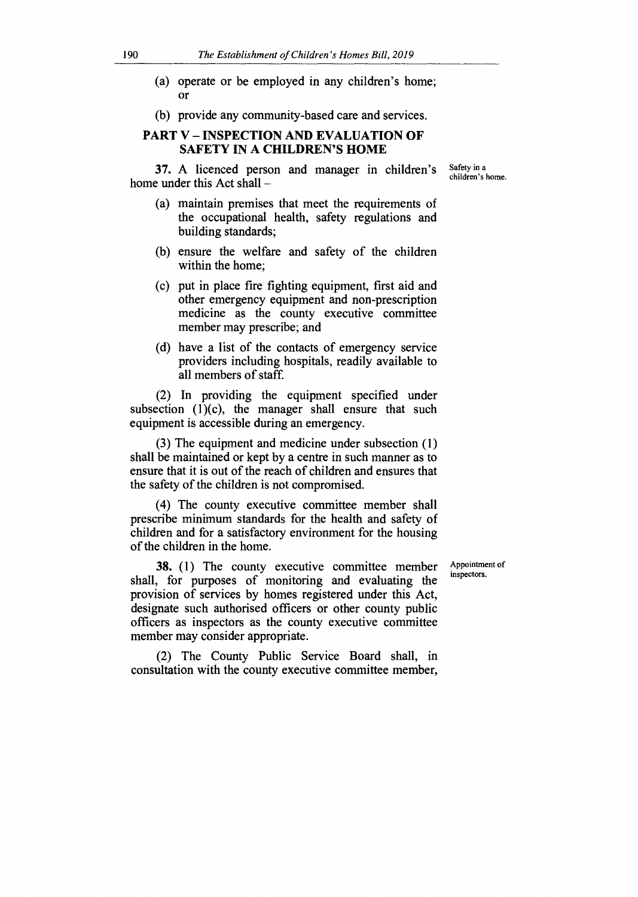- (a) operate or be employed in any children's home; Or
- (b) provide any community-based care and services.

# **PART V — INSPECTION AND EVALUATION OF SAFETY IN A CHILDREN'S HOME**

**37.** A licenced person and manager in children's home under this Act shall —

- (a) maintain premises that meet the requirements of the occupational health, safety regulations and building standards;
- (b) ensure the welfare and safety of the children within the home;
- (c) put in place fire fighting equipment, first aid and other emergency equipment and non-prescription medicine as the county executive committee member may prescribe; and
- (d) have a list of the contacts of emergency service providers including hospitals, readily available to all members of staff.

(2) In providing the equipment specified under subsection  $(1)(c)$ , the manager shall ensure that such equipment is accessible during an emergency.

(3) The equipment and medicine under subsection (1) shall be maintained or kept by a centre in such manner as to ensure that it is out of the reach of children and ensures that the safety of the children is not compromised.

(4) The county executive committee member shall prescribe minimum standards for the health and safety of children and for a satisfactory environment for the housing of the children in the home.

**38.** (1) The county executive committee member shall, for purposes of monitoring and evaluating the provision of services by homes registered under this Act, designate such authorised officers or other county public officers as inspectors as the county executive committee member may consider appropriate.

(2) The County Public Service Board shall, in consultation with the county executive committee member,

Appointment of inspectors.

Safety in a children's home.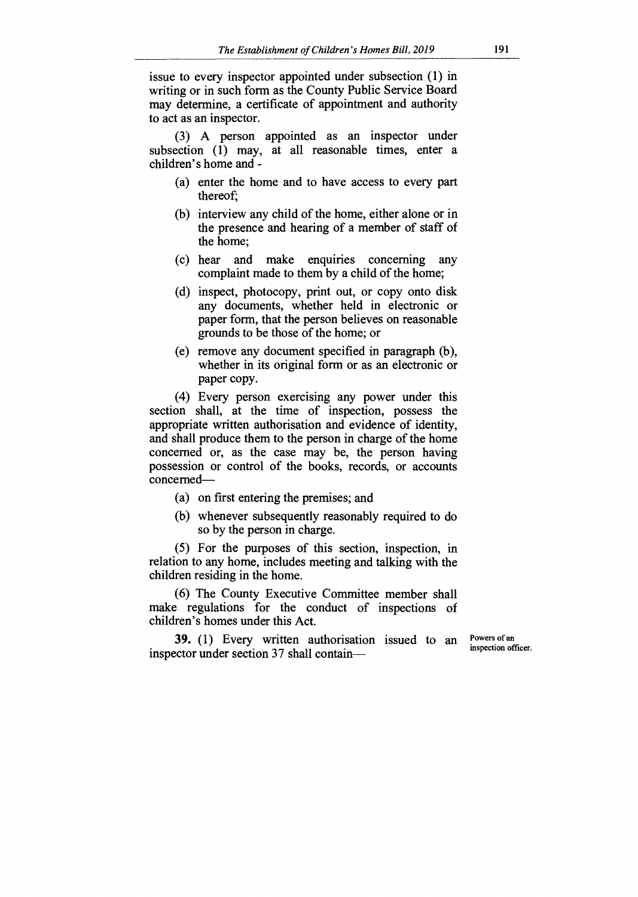issue to every inspector appointed under subsection (1) in writing or in such form as the County Public Service Board may determine, a certificate of appointment and authority to act as an inspector.

(3) A person appointed as an inspector under subsection (1) may, at all reasonable times, enter a children's home and -

- (a) enter the home and to have access to every part thereof;
- (b) interview any child of the home, either alone or in the presence and hearing of a member of staff of the home;
- (c) hear and make enquiries concerning any complaint made to them by a child of the home;
- (d) inspect, photocopy, print out, or copy onto disk any documents, whether held in electronic or paper form, that the person believes on reasonable grounds to be those of the home; or
- (e) remove any document specified in paragraph (b), whether in its original form or as an electronic or paper copy.

(4) Every person exercising any power under this section shall, at the time of inspection, possess the appropriate written authorisation and evidence of identity, and shall produce them to the person in charge of the home concerned or, as the case may be, the person having possession or control of the books, records, or accounts concerned—

- (a) on first entering the premises; and
- (b) whenever subsequently reasonably required to do so by the person in charge.

(5) For the purposes of this section, inspection, in relation to any home, includes meeting and talking with the children residing in the home.

(6) The County Executive Committee member shall make regulations for the conduct of inspections of children's homes under this Act.

**39.** (1) Every written authorisation issued to an inspector under section 37 shall containPowers of an inspection officer.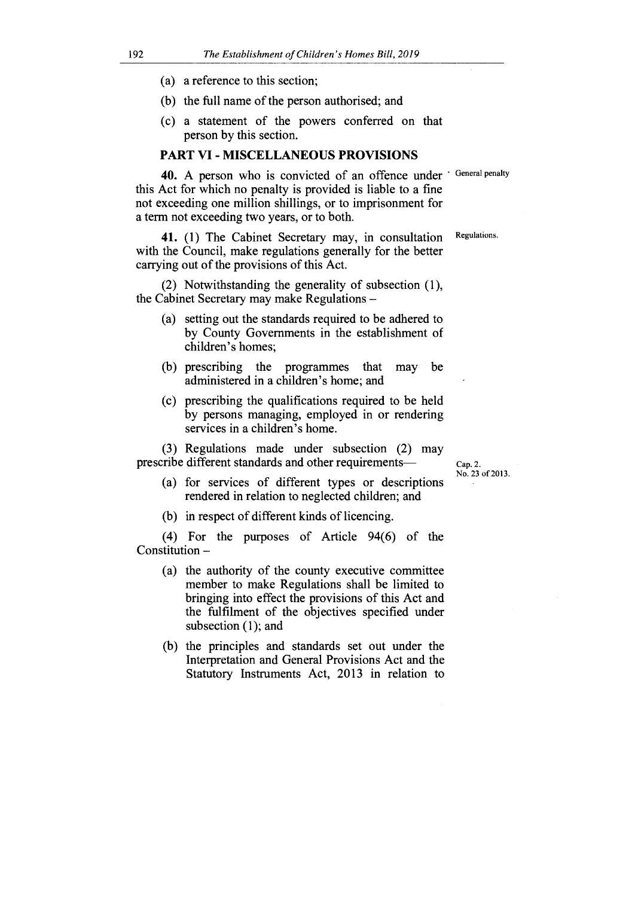- (a) a reference to this section;
- (b) the full name of the person authorised; and
- (c) a statement of the powers conferred on that person by this section.

#### **PART VI - MISCELLANEOUS PROVISIONS**

40. A person who is convicted of an offence under 'General penalty this Act for which no penalty is provided is liable to a fine not exceeding one million shillings, or to imprisonment for a term not exceeding two years, or to both.

41. (1) The Cabinet Secretary may, in consultation Regulations. with the Council, make regulations generally for the better carrying out of the provisions of this Act.

(2) Notwithstanding the generality of subsection (1), the Cabinet Secretary may make Regulations —

- (a) setting out the standards required to be adhered to by County Governments in the establishment of children's homes;
- (b) prescribing the programmes that may be administered in a children's home; and
- (c) prescribing the qualifications required to be held by persons managing, employed in or rendering services in a children's home.

(3) Regulations made under subsection (2) may prescribe different standards and other requirements—

- Cap. 2. No. 23 of 2013.
- (a) for services of different types or descriptions rendered in relation to neglected children; and
- (b) in respect of different kinds of licencing.

(4) For the purposes of Article 94(6) of the Constitution —

- (a) the authority of the county executive committee member to make Regulations shall be limited to bringing into effect the provisions of this Act and the fulfilment of the objectives specified under subsection (1); and
- (b) the principles and standards set out under the Interpretation and General Provisions Act and the Statutory Instruments Act, 2013 in relation to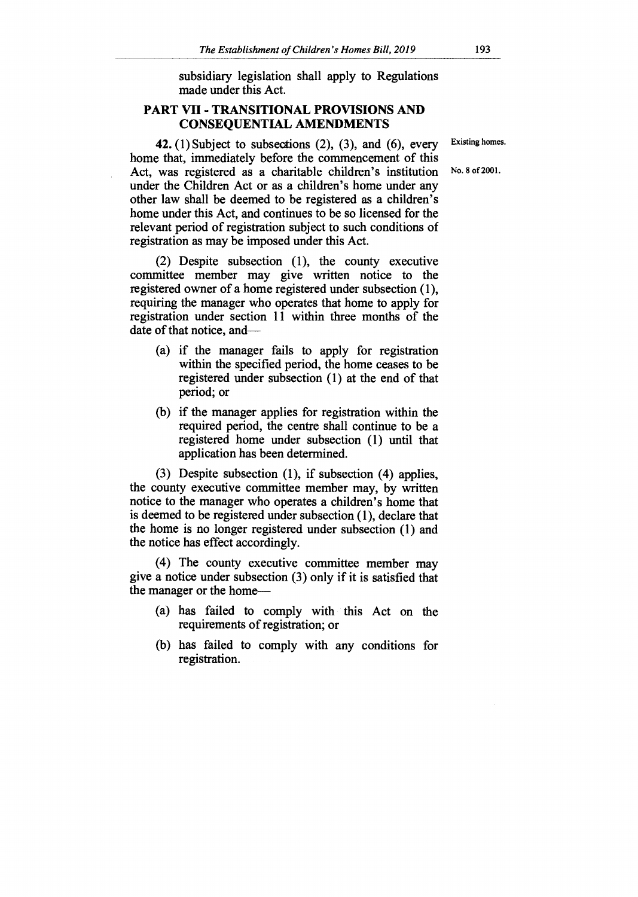subsidiary legislation shall apply to Regulations made under this Act.

# **PART VII - TRANSITIONAL PROVISIONS AND CONSEQUENTIAL AMENDMENTS**

Existing homes. No. 8 of 2001.

**42.** (1) Subject to subsections (2), (3), and (6), every home that, immediately before the commencement of this Act, was registered as a charitable children's institution under the Children Act or as a children's home under any other law shall be deemed to be registered as a children's home under this Act, and continues to be so licensed for the relevant period of registration subject to such conditions of registration as may be imposed under this Act.

(2) Despite subsection (1), the county executive committee member may give written notice to the registered owner of a home registered under subsection (1), requiring the manager who operates that home to apply for registration under section 11 within three months of the date of that notice, and—

- (a) if the manager fails to apply for registration within the specified period, the home ceases to be registered under subsection (1) at the end of that period; or
- (b) if the manager applies for registration within the required period, the centre shall continue to be a registered home under subsection (1) until that application has been determined.

(3) Despite subsection (1), if subsection (4) applies, the county executive committee member may, by written notice to the manager who operates a children's home that is deemed to be registered under subsection (1), declare that the home is no longer registered under subsection (1) and the notice has effect accordingly.

(4) The county executive committee member may give a notice under subsection (3) only if it is satisfied that the manager or the home—

- (a) has failed to comply with this Act on the requirements of registration; or
- (b) has failed to comply with any conditions for registration.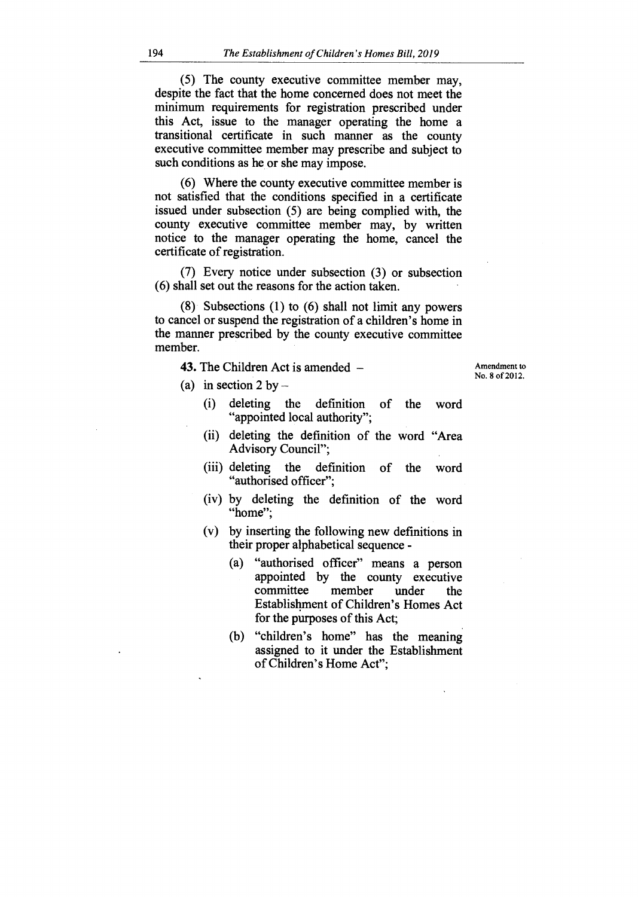(5) The county executive committee member may, despite the fact that the home concerned does not meet the minimum requirements for registration prescribed under this Act, issue to the manager operating the home a transitional certificate in such manner as the county executive committee member may prescribe and subject to such conditions as he or she may impose.

(6) Where the county executive committee member is not satisfied that the conditions specified in a certificate issued under subsection (5) are being complied with, the county executive committee member may, by written notice to the manager operating the home, cancel the certificate of registration.

(7) Every notice under subsection (3) or subsection (6) shall set out the reasons for the action taken.

(8) Subsections (1) to (6) shall not limit any powers to cancel or suspend the registration of a children's home in the manner prescribed by the county executive committee member.

**43.** The Children Act is amended —

Amendment to No. 8 of 2012.

- (a) in section 2 by  $-$ 
	- (i) deleting the definition of the word "appointed local authority";
	- (ii) deleting the definition of the word "Area Advisory Council";
	- (iii) deleting the definition of the word "authorised officer";
	- (iv) by deleting the definition of the word "home";
	- (v) by inserting the following new definitions in their proper alphabetical sequence -
		- (a) "authorised officer" means a person appointed by the county executive<br>committee member under the committee member under the Establishment of Children's Homes Act for the purposes of this Act;
		- (b) "children's home" has the meaning assigned to it under the Establishment of Children's Home Act";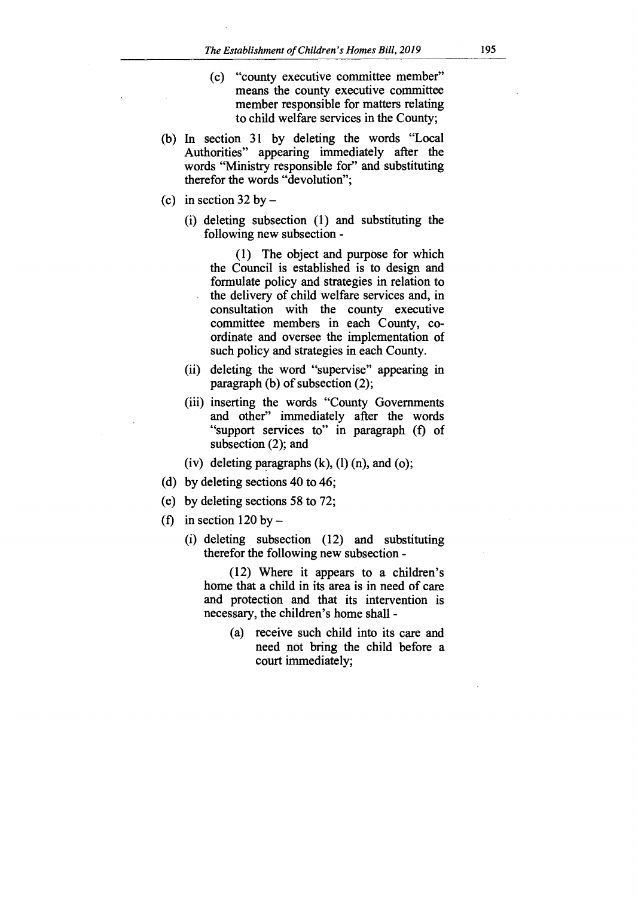- (c) "county executive committee member" means the county executive committee member responsible for matters relating to child welfare services in the County;
- (b) In section 31 by deleting the words "Local Authorities" appearing immediately after the words "Ministry responsible for" and substituting therefor the words "devolution";
- (c) in section  $32$  by  $-$ 
	- (i) deleting subsection (1) and substituting the following new subsection -

(1) The object and purpose for which the Council is established is to design and formulate policy and strategies in relation to the delivery of child welfare services and, in consultation with the county executive committee members in each County, coordinate and oversee the implementation of such policy and strategies in each County.

- (ii) deleting the word "supervise" appearing in paragraph (b) of subsection (2);
- (iii) inserting the words "County Governments and other" immediately after the words "support services to" in paragraph (f) of subsection (2); and
- (iv) deleting paragraphs  $(k)$ ,  $(l)$   $(n)$ , and  $(o)$ ;
- (d) by deleting sections 40 to 46;
- (e) by deleting sections 58 to 72;
- (f) in section  $120$  by  $-$ 
	- (i) deleting subsection (12) and substituting therefor the following new subsection -

(12) Where it appears to a children's home that a child in its area is in need of care and protection and that its intervention is necessary, the children's home shall -

> (a) receive such child into its care and need not bring the child before a court immediately;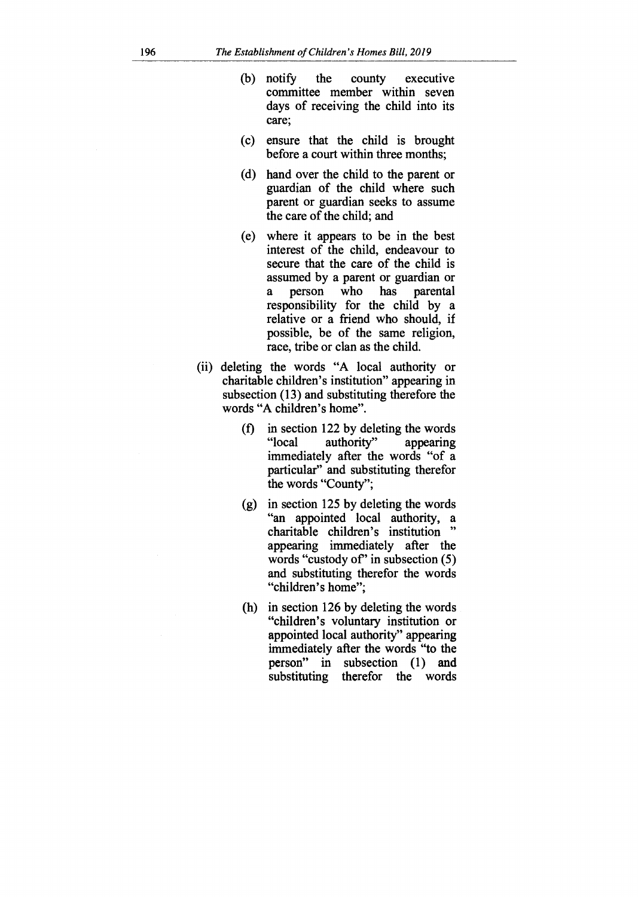- (b) notify the county executive committee member within seven days of receiving the child into its care;
- (c) ensure that the child is brought before a court within three months;
- (d) hand over the child to the parent or guardian of the child where such parent or guardian seeks to assume the care of the child; and
- (e) where it appears to be in the best interest of the child, endeavour to secure that the care of the child is assumed by a parent or guardian or<br>a person who has parental a person who has parental responsibility for the child by a relative or a friend who should, if possible, be of the same religion, race, tribe or clan as the child.
- (ii) deleting the words "A local authority or charitable children's institution" appearing in subsection (13) and substituting therefore the words "A children's home".
	- (f) in section 122 by deleting the words<br>" $local$  authority" appearing authority" appearing immediately after the words "of a particular" and substituting therefor the words "County";
	- (g) in section 125 by deleting the words "an appointed local authority, a charitable children's institution appearing immediately after the words "custody of" in subsection  $(5)$ and substituting therefor the words "children's home";
	- (h) in section 126 by deleting the words "children's voluntary institution or appointed local authority" appearing immediately after the words "to the person" in subsection (1) and substituting therefor the words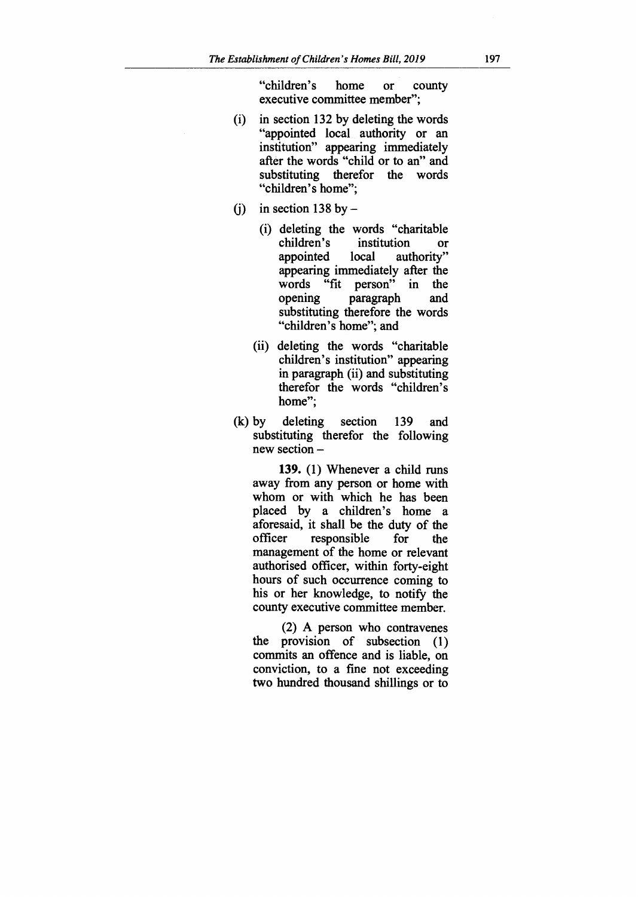"children's home or county executive committee member";

- (i) in section 132 by deleting the words "appointed local authority or an institution" appearing immediately after the words "child or to an" and substituting therefor the words "children's home";
- (i) in section 138 by  $-$ 
	- (i) deleting the words "charitable<br>children's institution or children's institution **or**  authority" appearing immediately after the words "fit person" in the<br>opening paragraph and paragraph substituting therefore the words "children's home"; and
	- (ii) deleting the words "charitable children's institution" appearing in paragraph (ii) and substituting therefor the words "children's home";
- (k) by deleting section 139 and substituting therefor the following new section **—**

**139.** (1) Whenever a child runs away from any person or home with whom or with which he has been placed by a children's home a aforesaid, it shall be the duty of the responsible for the management of the home or relevant authorised officer, within forty-eight hours of such occurrence coming to his or her knowledge, to notify the county executive committee member.

(2) A person who contravenes the provision of subsection (1) commits an offence and is liable, on conviction, to a fine not exceeding two hundred thousand shillings or to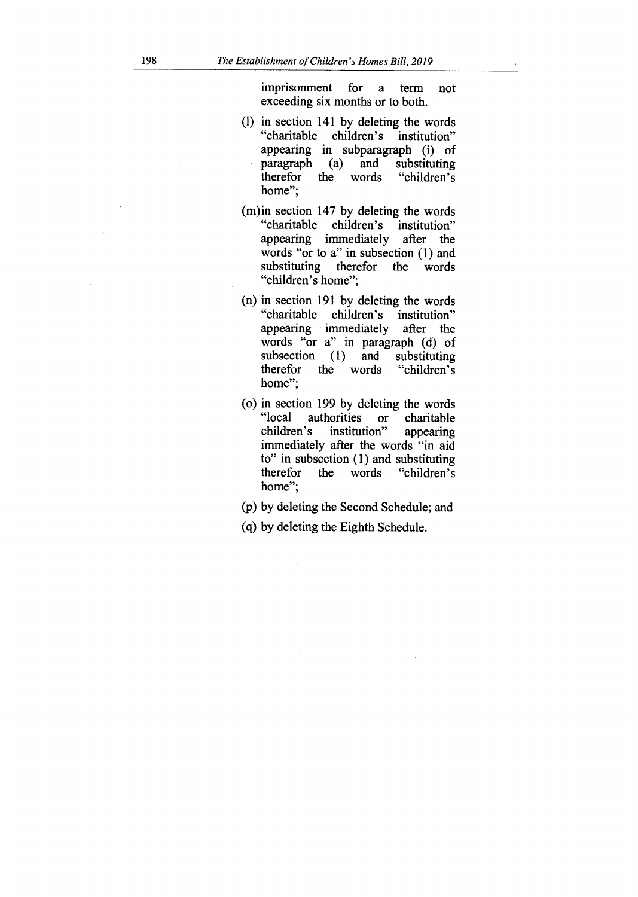imprisonment for a term not exceeding six months or to both.

- (1) in section 141 by deleting the words "charitable children's institution" appearing in subparagraph (i) of<br>paragraph (a) and substituting paragraph (a) and substituting<br>therefor the words "children's the words home";
- (m)in section 147 by deleting the words "charitable children's institution" appearing immediately after the words "or to a" in subsection (1) and substituting therefor the words "children's home";
- (n) in section 191 by deleting the words "charitable children's institution" appearing immediately after the words " $\overline{or}$  a" in paragraph (d) of<br>subsection (1) and substituting subsection (1) and substituting<br>therefor the words "children's the words home";
- (o) in section 199 by deleting the words "local authorities or charitable<br>children's institution" appearing institution" immediately after the words "in aid to" in subsection (1) and substituting<br>therefor the words "children's the words home";
- (p) by deleting the Second Schedule; and
- (q) by deleting the Eighth Schedule.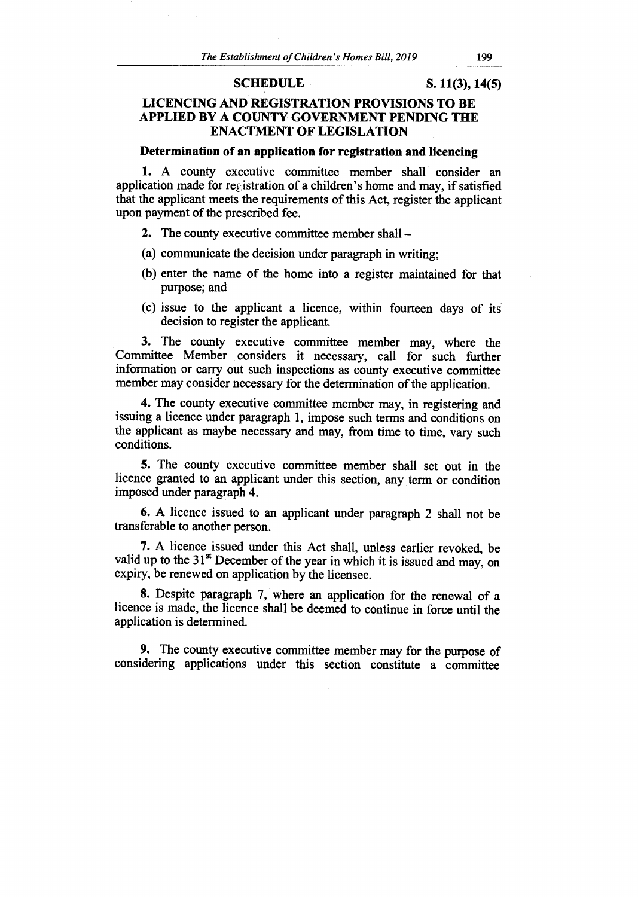#### **SCHEDULE S. 11(3), 14(5)**

# **LICENCING AND REGISTRATION PROVISIONS TO BE APPLIED BY A COUNTY GOVERNMENT PENDING THE ENACTMENT OF LEGISLATION**

#### **Determination of an application for registration and licencing**

**1.** A county executive committee member shall consider an application made for registration of a children's home and may, if satisfied that the applicant meets the requirements of this Act, register the applicant upon payment of the prescribed fee.

- **2.** The county executive committee member shall —
- (a) communicate the decision under paragraph in writing;
- (b) enter the name of the home into a register maintained for that purpose; and
- (c) issue to the applicant a licence, within fourteen days of its decision to register the applicant.

**3.** The county executive committee member may, where the Committee Member considers it necessary, call for such further information or carry out such inspections as county executive committee member may consider necessary for the determination of the application.

**4.** The county executive committee member may, in registering and issuing a licence under paragraph 1, impose such terms and conditions on the applicant as maybe necessary and may, from time to time, vary such conditions.

**5.** The county executive committee member shall set out in the licence granted to an applicant under this section, any term or condition imposed under paragraph 4.

**6.** A licence issued to an applicant under paragraph 2 shall not be transferable to another person.

**7.** A licence issued under this Act shall, unless earlier revoked, be valid up to the  $31<sup>st</sup>$  December of the year in which it is issued and may, on expiry, be renewed on application by the licensee.

**8.** Despite paragraph 7, where an application for the renewal of a licence is made, the licence shall be deemed to continue in force until the application is determined.

**9.** The county executive committee member may for the purpose of considering applications under this section constitute a committee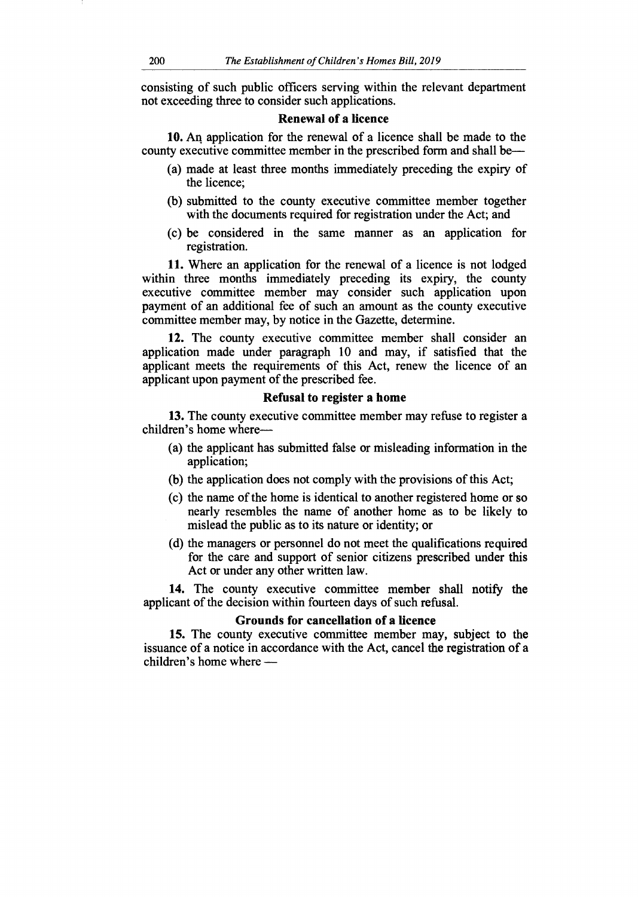consisting of such public officers serving within the relevant department not exceeding three to consider such applications.

# **Renewal of a licence**

**10.** An application for the renewal of a licence shall be made to the county executive committee member in the prescribed form and shall be—

- (a) made at least three months immediately preceding the expiry of the licence;
- (b) submitted to the county executive committee member together with the documents required for registration under the Act; and
- (c) be considered in the same manner as an application for registration.

11. Where an application for the renewal of a licence is not lodged within three months immediately preceding its expiry, the county executive committee member may consider such application upon payment of an additional fee of such an amount as the county executive committee member may, by notice in the Gazette, determine.

**12.** The county executive committee member shall consider an application made under paragraph 10 and may, if satisfied that the applicant meets the requirements of this Act, renew the licence of an applicant upon payment of the prescribed fee.

#### **Refusal to register a home**

**13.** The county executive committee member may refuse to register a children's home where—

- (a) the applicant has submitted false or misleading information in the application;
- (b) the application does not comply with the provisions of this Act;
- (c) the name of the home is identical to another registered home or so nearly resembles the name of another home as to be likely to mislead the public as to its nature or identity; or
- (d) the managers or personnel do not meet the qualifications required for the care and support of senior citizens prescribed under this Act or under any other written law.

**14.** The county executive committee member shall notify the applicant of the decision within fourteen days of such refusal.

#### **Grounds for cancellation of a licence**

**15.** The county executive committee member may, subject to the issuance of a notice in accordance with the Act, cancel the registration of a children's home where —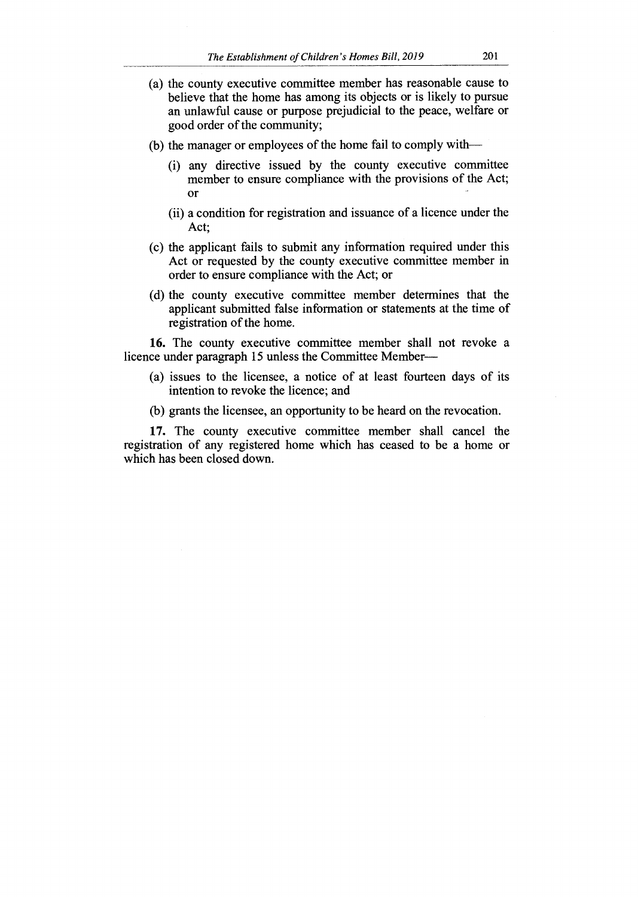- (a) the county executive committee member has reasonable cause to believe that the home has among its objects or is likely to pursue an unlawful cause or purpose prejudicial to the peace, welfare or good order of the community;
- (b) the manager or employees of the home fail to comply with—
	- (i) any directive issued by the county executive committee member to ensure compliance with the provisions of the Act; Or
	- (ii) a condition for registration and issuance of a licence under the Act;
- (c) the applicant fails to submit any information required under this Act or requested by the county executive committee member in order to ensure compliance with the Act; or
- (d) the county executive committee member determines that the applicant submitted false information or statements at the time of registration of the home.

**16.** The county executive committee member shall not revoke a licence under paragraph 15 unless the Committee Member—

- (a) issues to the licensee, a notice of at least fourteen days of its intention to revoke the licence; and
- (b) grants the licensee, an opportunity to be heard on the revocation.

**17.** The county executive committee member shall cancel the registration of any registered home which has ceased to be a home or which has been closed down.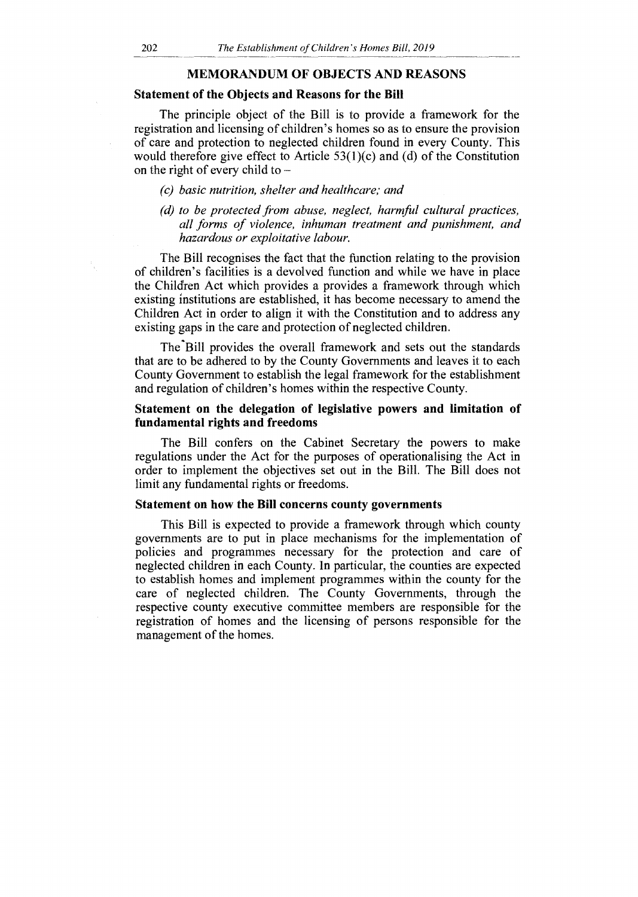#### **MEMORANDUM OF OBJECTS AND REASONS**

#### **Statement of the Objects and Reasons for the Bill**

The principle object of the Bill is to provide a framework for the registration and licensing of children's homes so as to ensure the provision of care and protection to neglected children found in every County. This would therefore give effect to Article 53(1)(c) and (d) of the Constitution on the right of every child to *—* 

- *(c) basic nutrition, shelter and healthcare; and*
- *(d) to be protected from abuse, neglect, harmful cultural practices, all forms of violence, inhuman treatment and punishment, and hazardous or exploitative labour.*

The Bill recognises the fact that the function relating to the provision of children's facilities is a devolved function and while we have in place the Children Act which provides a provides a framework through which existing institutions are established, it has become necessary to amend the Children Act in order to align it with the Constitution and to address any existing gaps in the care and protection of neglected children.

The Bill provides the overall framework and sets out the standards that are to be adhered to by the County Governments and leaves it to each County Government to establish the legal framework for the establishment and regulation of children's homes within the respective County.

#### **Statement on the delegation of legislative powers and limitation of fundamental rights and freedoms**

The Bill confers on the Cabinet Secretary the powers to make regulations under the Act for the purposes of operationalising the Act in order to implement the objectives set out in the Bill. The Bill does not limit any fundamental rights or freedoms.

#### **Statement on how the Bill concerns county governments**

This Bill is expected to provide a framework through which county governments are to put in place mechanisms for the implementation of policies and programmes necessary for the protection and care of neglected children in each County. In particular, the counties are expected to establish homes and implement programmes within the county for the care of neglected children. The County Governments, through the respective county executive committee members are responsible for the registration of homes and the licensing of persons responsible for the management of the homes.